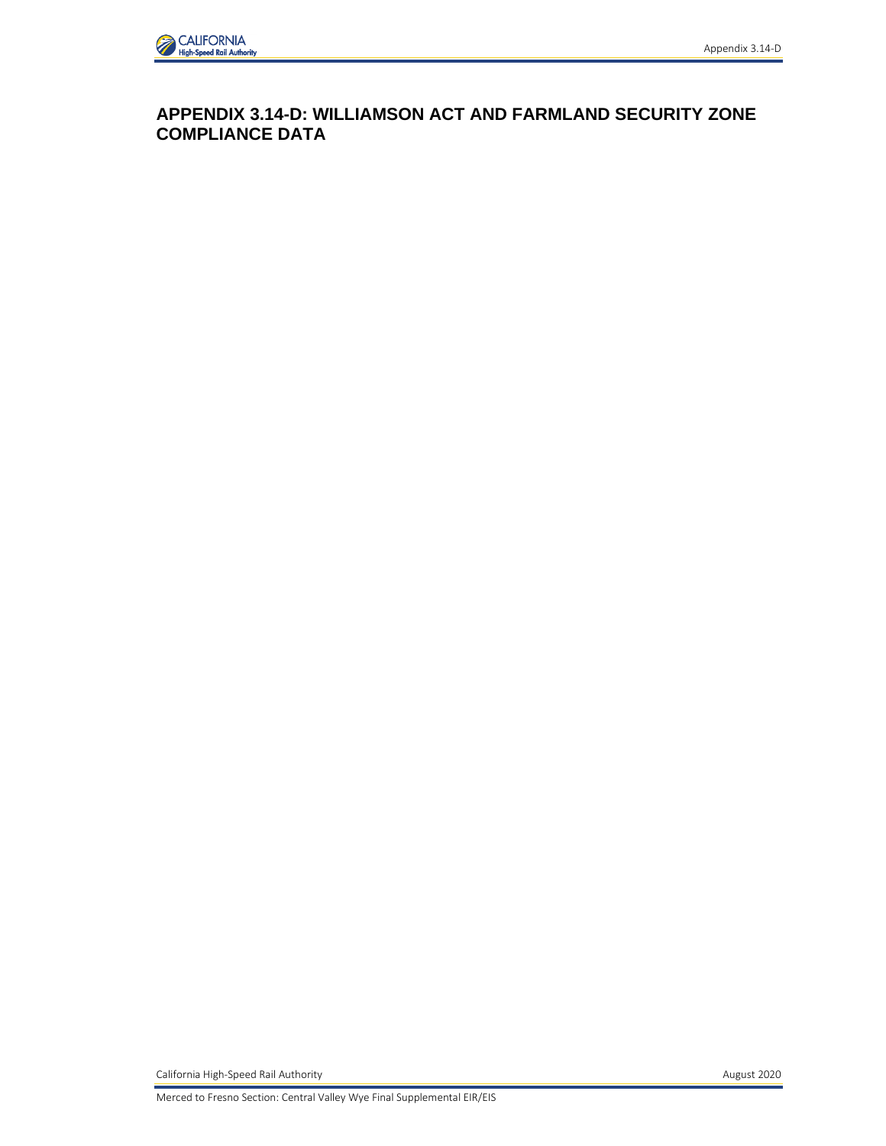

# **APPENDIX 3.14-D: WILLIAMSON ACT AND FARMLAND SECURITY ZONE COMPLIANCE DATA**

California High-Speed Rail Authority **August 2020 August 2020** 

Merced to Fresno Section: Central Valley Wye Final Supplemental EIR/EIS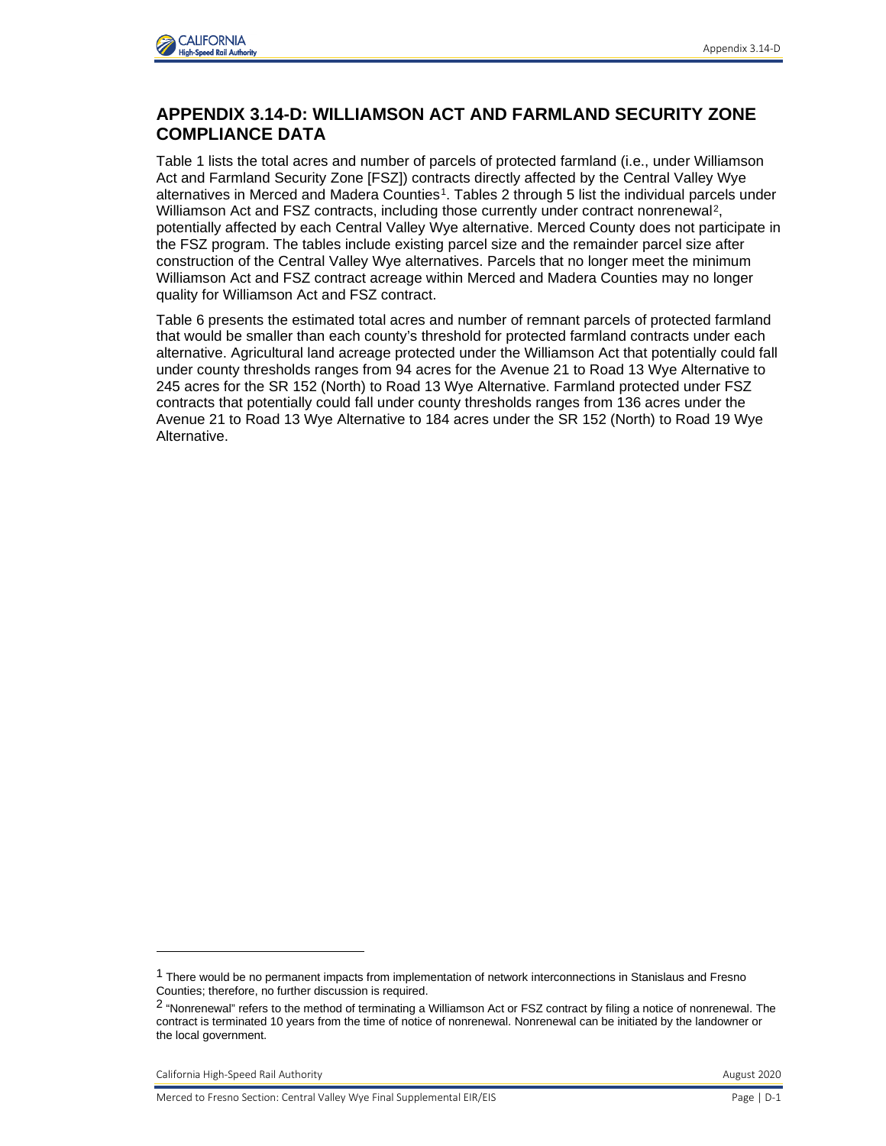

# **APPENDIX 3.14-D: WILLIAMSON ACT AND FARMLAND SECURITY ZONE COMPLIANCE DATA**

Table 1 lists the total acres and number of parcels of protected farmland (i.e., under Williamson Act and Farmland Security Zone [FSZ]) contracts directly affected by the Central Valley Wye alternatives in Merced and Madera Counties<sup>[1](#page-1-0)</sup>. Tables 2 through 5 list the individual parcels under Williamson Act and FSZ contracts, including those currently under contract nonrenewal<sup>2</sup>, potentially affected by each Central Valley Wye alternative. Merced County does not participate in the FSZ program. The tables include existing parcel size and the remainder parcel size after construction of the Central Valley Wye alternatives. Parcels that no longer meet the minimum Williamson Act and FSZ contract acreage within Merced and Madera Counties may no longer quality for Williamson Act and FSZ contract.

Table 6 presents the estimated total acres and number of remnant parcels of protected farmland that would be smaller than each county's threshold for protected farmland contracts under each alternative. Agricultural land acreage protected under the Williamson Act that potentially could fall under county thresholds ranges from 94 acres for the Avenue 21 to Road 13 Wye Alternative to 245 acres for the SR 152 (North) to Road 13 Wye Alternative. Farmland protected under FSZ contracts that potentially could fall under county thresholds ranges from 136 acres under the Avenue 21 to Road 13 Wye Alternative to 184 acres under the SR 152 (North) to Road 19 Wye Alternative.

California High-Speed Rail Authority **August 2020** California High-Speed Rail Authority

<span id="page-1-0"></span><sup>&</sup>lt;sup>1</sup> There would be no permanent impacts from implementation of network interconnections in Stanislaus and Fresno Counties; therefore, no further discussion is required.

<span id="page-1-1"></span><sup>2</sup> "Nonrenewal" refers to the method of terminating a Williamson Act or FSZ contract by filing a notice of nonrenewal. The contract is terminated 10 years from the time of notice of nonrenewal. Nonrenewal can be initiated by the landowner or the local government.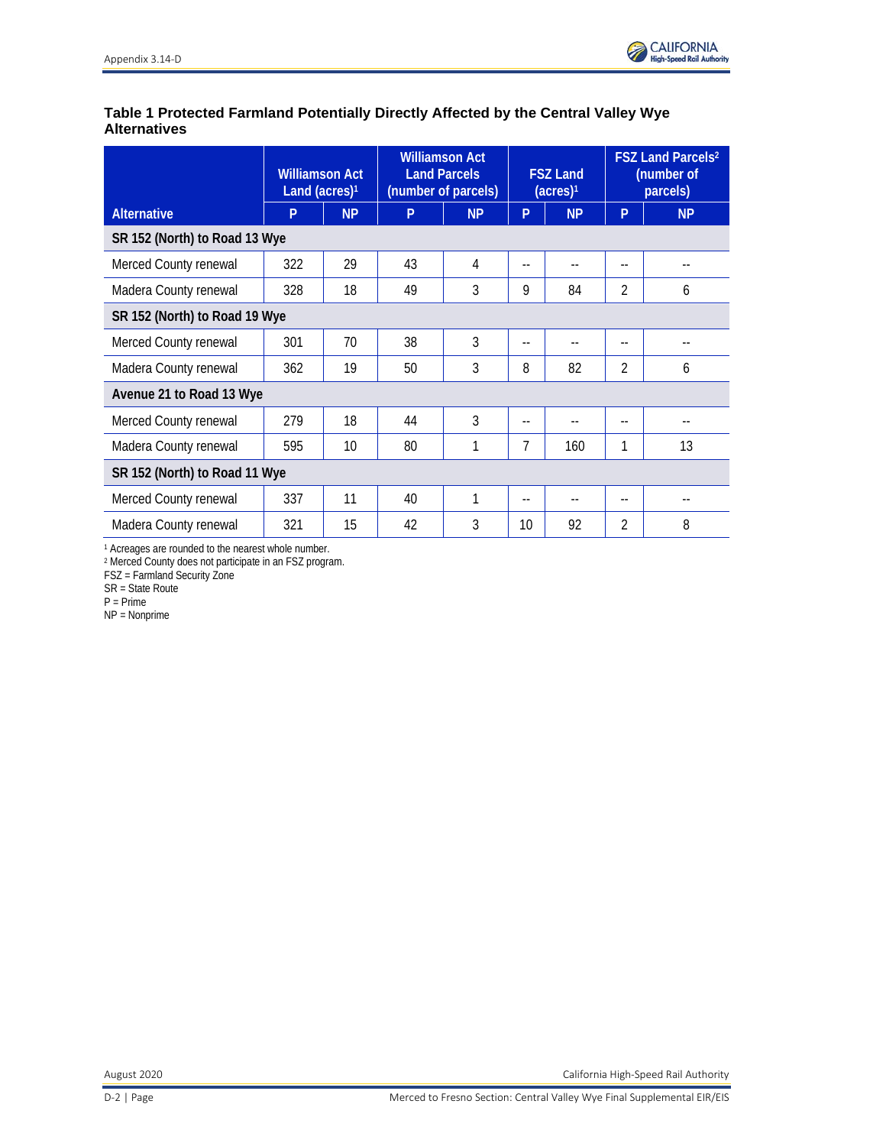## **Table 1 Protected Farmland Potentially Directly Affected by the Central Valley Wye Alternatives**

|                               | <b>Williamson Act</b><br>Land (acres) <sup>1</sup> |           | <b>Williamson Act</b><br><b>Land Parcels</b><br>(number of parcels) |                | <b>FSZ Land</b><br>(acres) <sup>1</sup> |                | <b>FSZ Land Parcels2</b><br>(number of<br>parcels) |           |  |
|-------------------------------|----------------------------------------------------|-----------|---------------------------------------------------------------------|----------------|-----------------------------------------|----------------|----------------------------------------------------|-----------|--|
| <b>Alternative</b>            | P                                                  | <b>NP</b> | P                                                                   | <b>NP</b>      | P                                       | <b>NP</b>      | P                                                  | <b>NP</b> |  |
|                               | SR 152 (North) to Road 13 Wye                      |           |                                                                     |                |                                         |                |                                                    |           |  |
| Merced County renewal         | 322                                                | 29        | 43                                                                  | 4              | --                                      | $\overline{a}$ | $-$                                                |           |  |
| Madera County renewal         | 328                                                | 18        | 49                                                                  | 3              | 9                                       | 84             | 2                                                  | 6         |  |
| SR 152 (North) to Road 19 Wye |                                                    |           |                                                                     |                |                                         |                |                                                    |           |  |
| Merced County renewal         | 301                                                | 70        | 38                                                                  | 3              | $-$                                     | $-$            | $-$                                                |           |  |
| Madera County renewal         | 362                                                | 19        | 50                                                                  | 3              | 8                                       | 82             | $\mathfrak{D}$                                     | 6         |  |
| Avenue 21 to Road 13 Wye      |                                                    |           |                                                                     |                |                                         |                |                                                    |           |  |
| Merced County renewal         | 279                                                | 18        | 44                                                                  | $\overline{3}$ | $-$                                     |                |                                                    | $-$       |  |
| Madera County renewal         | 595                                                | 10        | 80                                                                  | 1              | 7                                       | 160            | 1                                                  | 13        |  |
| SR 152 (North) to Road 11 Wye |                                                    |           |                                                                     |                |                                         |                |                                                    |           |  |
| Merced County renewal         | 337                                                | 11        | 40                                                                  | 1              | $-$                                     | $-$            | $-$                                                |           |  |
| Madera County renewal         | 321                                                | 15        | 42                                                                  | 3              | 10                                      | 92             | 2                                                  | 8         |  |

<sup>1</sup> Acreages are rounded to the nearest whole number.

<sup>2</sup> Merced County does not participate in an FSZ program.

FSZ = Farmland Security Zone

SR = State Route

P = Prime

NP = Nonprime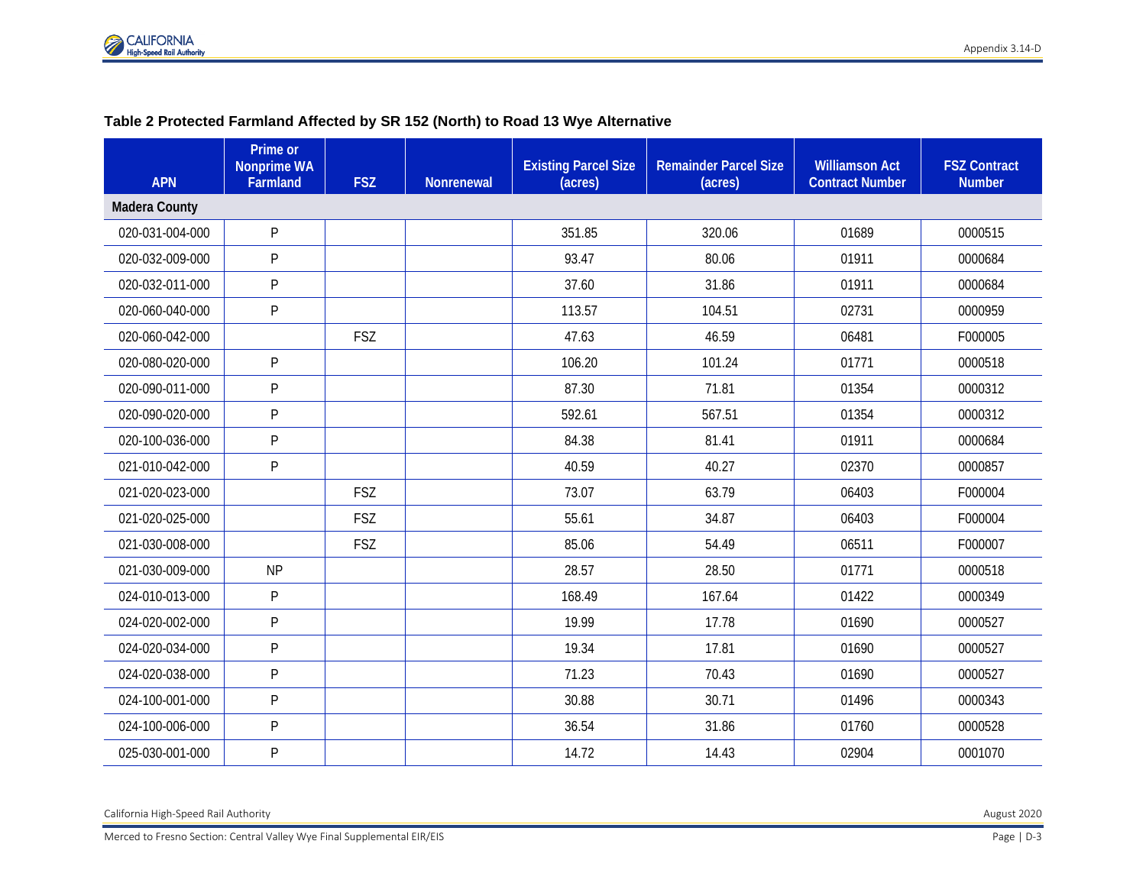

| <b>APN</b>           | Prime or<br><b>Nonprime WA</b><br>Farmland | <b>FSZ</b> | <b>Nonrenewal</b> | <b>Existing Parcel Size</b><br>(acres) | <b>Remainder Parcel Size</b><br>(acres) | <b>Williamson Act</b><br><b>Contract Number</b> | <b>FSZ Contract</b><br><b>Number</b> |
|----------------------|--------------------------------------------|------------|-------------------|----------------------------------------|-----------------------------------------|-------------------------------------------------|--------------------------------------|
| <b>Madera County</b> |                                            |            |                   |                                        |                                         |                                                 |                                      |
| 020-031-004-000      | P                                          |            |                   | 351.85                                 | 320.06                                  | 01689                                           | 0000515                              |
| 020-032-009-000      | P                                          |            |                   | 93.47                                  | 80.06                                   | 01911                                           | 0000684                              |
| 020-032-011-000      | P                                          |            |                   | 37.60                                  | 31.86                                   | 01911                                           | 0000684                              |
| 020-060-040-000      | P                                          |            |                   | 113.57                                 | 104.51                                  | 02731                                           | 0000959                              |
| 020-060-042-000      |                                            | <b>FSZ</b> |                   | 47.63                                  | 46.59                                   | 06481                                           | F000005                              |
| 020-080-020-000      | P                                          |            |                   | 106.20                                 | 101.24                                  | 01771                                           | 0000518                              |
| 020-090-011-000      | P                                          |            |                   | 87.30                                  | 71.81                                   | 01354                                           | 0000312                              |
| 020-090-020-000      | P                                          |            |                   | 592.61                                 | 567.51                                  | 01354                                           | 0000312                              |
| 020-100-036-000      | P                                          |            |                   | 84.38                                  | 81.41                                   | 01911                                           | 0000684                              |
| 021-010-042-000      | P                                          |            |                   | 40.59                                  | 40.27                                   | 02370                                           | 0000857                              |
| 021-020-023-000      |                                            | <b>FSZ</b> |                   | 73.07                                  | 63.79                                   | 06403                                           | F000004                              |
| 021-020-025-000      |                                            | <b>FSZ</b> |                   | 55.61                                  | 34.87                                   | 06403                                           | F000004                              |
| 021-030-008-000      |                                            | <b>FSZ</b> |                   | 85.06                                  | 54.49                                   | 06511                                           | F000007                              |
| 021-030-009-000      | <b>NP</b>                                  |            |                   | 28.57                                  | 28.50                                   | 01771                                           | 0000518                              |
| 024-010-013-000      | P                                          |            |                   | 168.49                                 | 167.64                                  | 01422                                           | 0000349                              |
| 024-020-002-000      | P                                          |            |                   | 19.99                                  | 17.78                                   | 01690                                           | 0000527                              |
| 024-020-034-000      | P                                          |            |                   | 19.34                                  | 17.81                                   | 01690                                           | 0000527                              |
| 024-020-038-000      | P                                          |            |                   | 71.23                                  | 70.43                                   | 01690                                           | 0000527                              |
| 024-100-001-000      | P                                          |            |                   | 30.88                                  | 30.71                                   | 01496                                           | 0000343                              |
| 024-100-006-000      | P                                          |            |                   | 36.54                                  | 31.86                                   | 01760                                           | 0000528                              |
| 025-030-001-000      | P                                          |            |                   | 14.72                                  | 14.43                                   | 02904                                           | 0001070                              |

#### **Table 2 Protected Farmland Affected by SR 152 (North) to Road 13 Wye Alternative**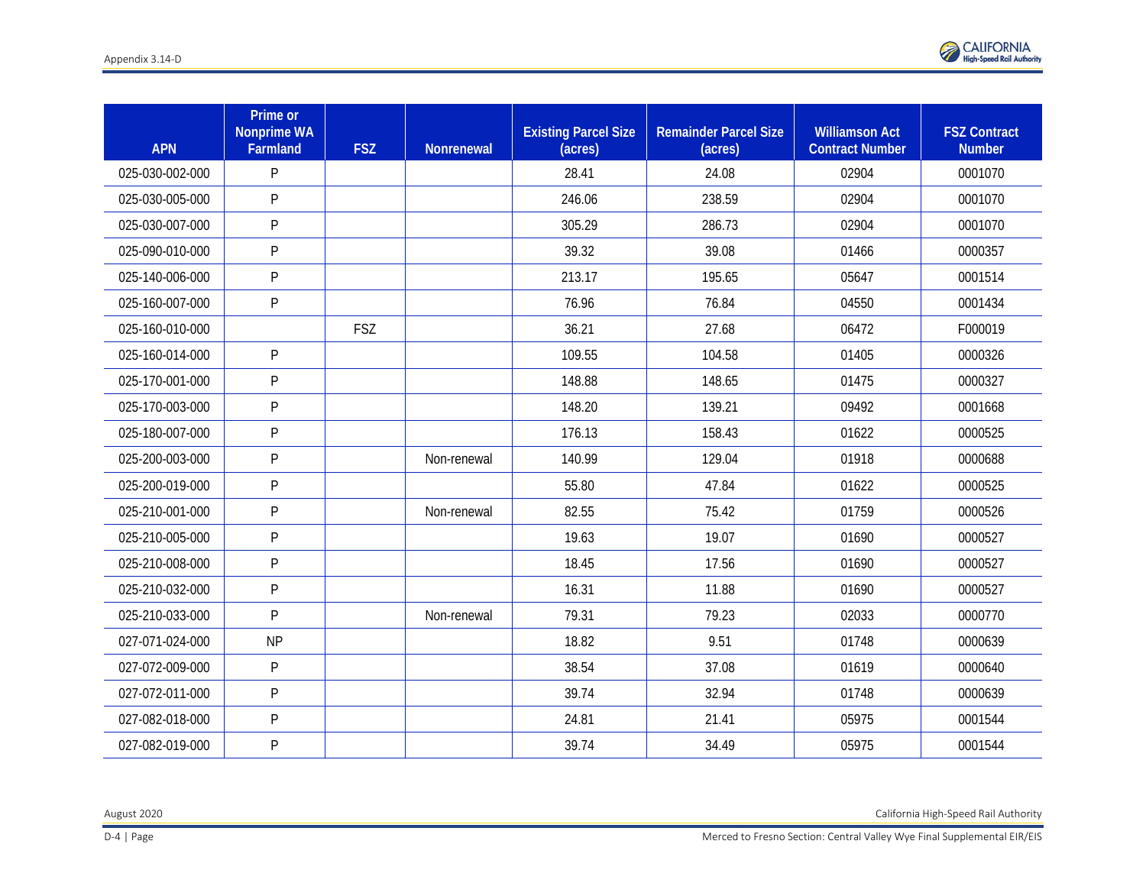

| <b>APN</b>      | Prime or<br><b>Nonprime WA</b><br>Farmland | <b>FSZ</b> | <b>Nonrenewal</b> | <b>Existing Parcel Size</b><br>(acres) | <b>Remainder Parcel Size</b><br>(acres) | <b>Williamson Act</b><br><b>Contract Number</b> | <b>FSZ Contract</b><br><b>Number</b> |
|-----------------|--------------------------------------------|------------|-------------------|----------------------------------------|-----------------------------------------|-------------------------------------------------|--------------------------------------|
| 025-030-002-000 | P                                          |            |                   | 28.41                                  | 24.08                                   | 02904                                           | 0001070                              |
| 025-030-005-000 | $\mathsf{P}$                               |            |                   | 246.06                                 | 238.59                                  | 02904                                           | 0001070                              |
| 025-030-007-000 | P                                          |            |                   | 305.29                                 | 286.73                                  | 02904                                           | 0001070                              |
| 025-090-010-000 | P                                          |            |                   | 39.32                                  | 39.08                                   | 01466                                           | 0000357                              |
| 025-140-006-000 | P                                          |            |                   | 213.17                                 | 195.65                                  | 05647                                           | 0001514                              |
| 025-160-007-000 | P                                          |            |                   | 76.96                                  | 76.84                                   | 04550                                           | 0001434                              |
| 025-160-010-000 |                                            | FSZ        |                   | 36.21                                  | 27.68                                   | 06472                                           | F000019                              |
| 025-160-014-000 | $\mathsf{P}$                               |            |                   | 109.55                                 | 104.58                                  | 01405                                           | 0000326                              |
| 025-170-001-000 | P                                          |            |                   | 148.88                                 | 148.65                                  | 01475                                           | 0000327                              |
| 025-170-003-000 | $\mathsf{P}$                               |            |                   | 148.20                                 | 139.21                                  | 09492                                           | 0001668                              |
| 025-180-007-000 | $\mathsf{P}$                               |            |                   | 176.13                                 | 158.43                                  | 01622                                           | 0000525                              |
| 025-200-003-000 | P                                          |            | Non-renewal       | 140.99                                 | 129.04                                  | 01918                                           | 0000688                              |
| 025-200-019-000 | $\mathsf{P}$                               |            |                   | 55.80                                  | 47.84                                   | 01622                                           | 0000525                              |
| 025-210-001-000 | P                                          |            | Non-renewal       | 82.55                                  | 75.42                                   | 01759                                           | 0000526                              |
| 025-210-005-000 | $\mathsf{P}$                               |            |                   | 19.63                                  | 19.07                                   | 01690                                           | 0000527                              |
| 025-210-008-000 | P                                          |            |                   | 18.45                                  | 17.56                                   | 01690                                           | 0000527                              |
| 025-210-032-000 | $\mathsf{P}$                               |            |                   | 16.31                                  | 11.88                                   | 01690                                           | 0000527                              |
| 025-210-033-000 | $\mathsf{P}$                               |            | Non-renewal       | 79.31                                  | 79.23                                   | 02033                                           | 0000770                              |
| 027-071-024-000 | <b>NP</b>                                  |            |                   | 18.82                                  | 9.51                                    | 01748                                           | 0000639                              |
| 027-072-009-000 | P                                          |            |                   | 38.54                                  | 37.08                                   | 01619                                           | 0000640                              |
| 027-072-011-000 | P                                          |            |                   | 39.74                                  | 32.94                                   | 01748                                           | 0000639                              |
| 027-082-018-000 | P                                          |            |                   | 24.81                                  | 21.41                                   | 05975                                           | 0001544                              |
| 027-082-019-000 | P                                          |            |                   | 39.74                                  | 34.49                                   | 05975                                           | 0001544                              |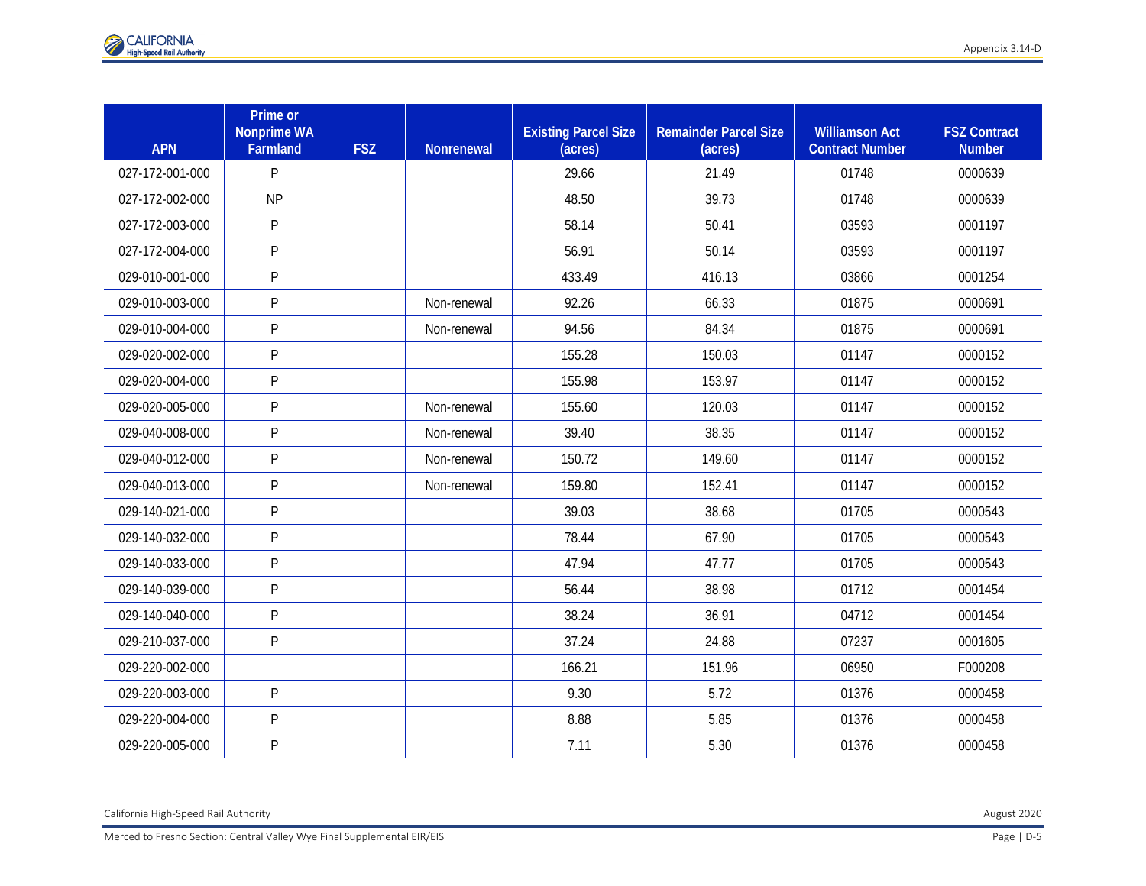| <b>APN</b>      | Prime or<br><b>Nonprime WA</b><br>Farmland | <b>FSZ</b> | Nonrenewal  | <b>Existing Parcel Size</b><br>(acres) | <b>Remainder Parcel Size</b><br>(acres) | <b>Williamson Act</b><br><b>Contract Number</b> | <b>FSZ Contract</b><br><b>Number</b> |
|-----------------|--------------------------------------------|------------|-------------|----------------------------------------|-----------------------------------------|-------------------------------------------------|--------------------------------------|
| 027-172-001-000 | P                                          |            |             | 29.66                                  | 21.49                                   | 01748                                           | 0000639                              |
| 027-172-002-000 | <b>NP</b>                                  |            |             | 48.50                                  | 39.73                                   | 01748                                           | 0000639                              |
| 027-172-003-000 | P                                          |            |             | 58.14                                  | 50.41                                   | 03593                                           | 0001197                              |
| 027-172-004-000 | P                                          |            |             | 56.91                                  | 50.14                                   | 03593                                           | 0001197                              |
| 029-010-001-000 | P                                          |            |             | 433.49                                 | 416.13                                  | 03866                                           | 0001254                              |
| 029-010-003-000 | $\mathsf{P}$                               |            | Non-renewal | 92.26                                  | 66.33                                   | 01875                                           | 0000691                              |
| 029-010-004-000 | $\mathsf{P}$                               |            | Non-renewal | 94.56                                  | 84.34                                   | 01875                                           | 0000691                              |
| 029-020-002-000 | $\mathsf{P}$                               |            |             | 155.28                                 | 150.03                                  | 01147                                           | 0000152                              |
| 029-020-004-000 | $\mathsf{P}$                               |            |             | 155.98                                 | 153.97                                  | 01147                                           | 0000152                              |
| 029-020-005-000 | $\mathsf{P}$                               |            | Non-renewal | 155.60                                 | 120.03                                  | 01147                                           | 0000152                              |
| 029-040-008-000 | $\mathsf{P}$                               |            | Non-renewal | 39.40                                  | 38.35                                   | 01147                                           | 0000152                              |
| 029-040-012-000 | $\mathsf{P}$                               |            | Non-renewal | 150.72                                 | 149.60                                  | 01147                                           | 0000152                              |
| 029-040-013-000 | $\overline{P}$                             |            | Non-renewal | 159.80                                 | 152.41                                  | 01147                                           | 0000152                              |
| 029-140-021-000 | $\mathsf{P}$                               |            |             | 39.03                                  | 38.68                                   | 01705                                           | 0000543                              |
| 029-140-032-000 | $\mathsf{P}$                               |            |             | 78.44                                  | 67.90                                   | 01705                                           | 0000543                              |
| 029-140-033-000 | $\mathsf{P}$                               |            |             | 47.94                                  | 47.77                                   | 01705                                           | 0000543                              |
| 029-140-039-000 | P                                          |            |             | 56.44                                  | 38.98                                   | 01712                                           | 0001454                              |
| 029-140-040-000 | P                                          |            |             | 38.24                                  | 36.91                                   | 04712                                           | 0001454                              |
| 029-210-037-000 | P                                          |            |             | 37.24                                  | 24.88                                   | 07237                                           | 0001605                              |
| 029-220-002-000 |                                            |            |             | 166.21                                 | 151.96                                  | 06950                                           | F000208                              |
| 029-220-003-000 | $\mathsf{P}$                               |            |             | 9.30                                   | 5.72                                    | 01376                                           | 0000458                              |
| 029-220-004-000 | P                                          |            |             | 8.88                                   | 5.85                                    | 01376                                           | 0000458                              |
| 029-220-005-000 | P                                          |            |             | 7.11                                   | 5.30                                    | 01376                                           | 0000458                              |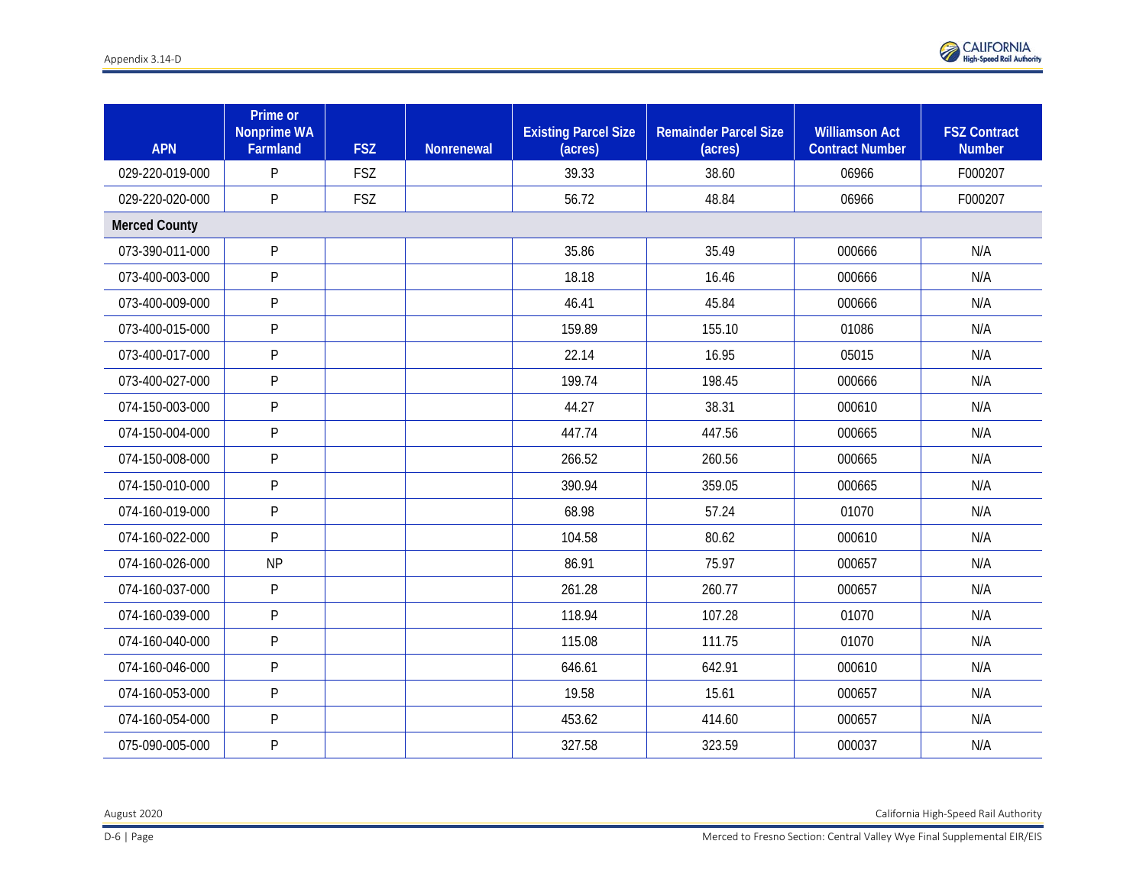

| <b>APN</b>           | Prime or<br><b>Nonprime WA</b><br>Farmland | <b>FSZ</b> | <b>Nonrenewal</b> | <b>Existing Parcel Size</b><br>(acres) | <b>Remainder Parcel Size</b><br>(acres) | <b>Williamson Act</b><br><b>Contract Number</b> | <b>FSZ Contract</b><br><b>Number</b> |
|----------------------|--------------------------------------------|------------|-------------------|----------------------------------------|-----------------------------------------|-------------------------------------------------|--------------------------------------|
| 029-220-019-000      | P                                          | <b>FSZ</b> |                   | 39.33                                  | 38.60                                   | 06966                                           | F000207                              |
| 029-220-020-000      | P                                          | FSZ        |                   | 56.72                                  | 48.84                                   | 06966                                           | F000207                              |
| <b>Merced County</b> |                                            |            |                   |                                        |                                         |                                                 |                                      |
| 073-390-011-000      | P                                          |            |                   | 35.86                                  | 35.49                                   | 000666                                          | N/A                                  |
| 073-400-003-000      | P                                          |            |                   | 18.18                                  | 16.46                                   | 000666                                          | N/A                                  |
| 073-400-009-000      | P                                          |            |                   | 46.41                                  | 45.84                                   | 000666                                          | N/A                                  |
| 073-400-015-000      | P                                          |            |                   | 159.89                                 | 155.10                                  | 01086                                           | N/A                                  |
| 073-400-017-000      | P                                          |            |                   | 22.14                                  | 16.95                                   | 05015                                           | N/A                                  |
| 073-400-027-000      | P                                          |            |                   | 199.74                                 | 198.45                                  | 000666                                          | N/A                                  |
| 074-150-003-000      | P                                          |            |                   | 44.27                                  | 38.31                                   | 000610                                          | N/A                                  |
| 074-150-004-000      | P                                          |            |                   | 447.74                                 | 447.56                                  | 000665                                          | N/A                                  |
| 074-150-008-000      | P                                          |            |                   | 266.52                                 | 260.56                                  | 000665                                          | N/A                                  |
| 074-150-010-000      | P                                          |            |                   | 390.94                                 | 359.05                                  | 000665                                          | N/A                                  |
| 074-160-019-000      | P                                          |            |                   | 68.98                                  | 57.24                                   | 01070                                           | N/A                                  |
| 074-160-022-000      | P                                          |            |                   | 104.58                                 | 80.62                                   | 000610                                          | N/A                                  |
| 074-160-026-000      | <b>NP</b>                                  |            |                   | 86.91                                  | 75.97                                   | 000657                                          | N/A                                  |
| 074-160-037-000      | P                                          |            |                   | 261.28                                 | 260.77                                  | 000657                                          | N/A                                  |
| 074-160-039-000      | $\mathsf{P}$                               |            |                   | 118.94                                 | 107.28                                  | 01070                                           | N/A                                  |
| 074-160-040-000      | P                                          |            |                   | 115.08                                 | 111.75                                  | 01070                                           | N/A                                  |
| 074-160-046-000      | $\mathsf{P}$                               |            |                   | 646.61                                 | 642.91                                  | 000610                                          | N/A                                  |
| 074-160-053-000      | $\mathsf{P}$                               |            |                   | 19.58                                  | 15.61                                   | 000657                                          | N/A                                  |
| 074-160-054-000      | $\mathsf{P}$                               |            |                   | 453.62                                 | 414.60                                  | 000657                                          | N/A                                  |
| 075-090-005-000      | $\mathsf{P}$                               |            |                   | 327.58                                 | 323.59                                  | 000037                                          | N/A                                  |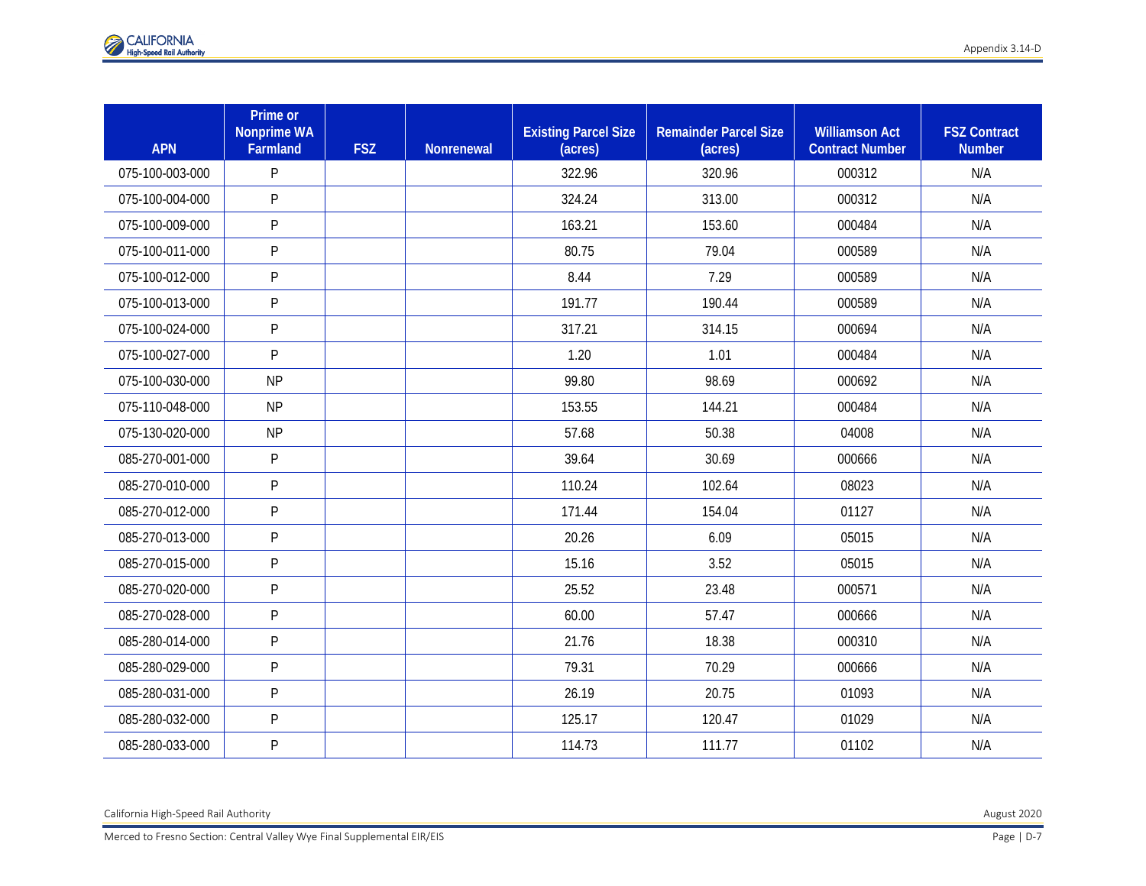| <b>APN</b>      | Prime or<br><b>Nonprime WA</b><br>Farmland | <b>FSZ</b> | Nonrenewal | <b>Existing Parcel Size</b><br>(acres) | <b>Remainder Parcel Size</b><br>(acres) | <b>Williamson Act</b><br><b>Contract Number</b> | <b>FSZ Contract</b><br><b>Number</b> |
|-----------------|--------------------------------------------|------------|------------|----------------------------------------|-----------------------------------------|-------------------------------------------------|--------------------------------------|
| 075-100-003-000 | P                                          |            |            | 322.96                                 | 320.96                                  | 000312                                          | N/A                                  |
| 075-100-004-000 | P                                          |            |            | 324.24                                 | 313.00                                  | 000312                                          | N/A                                  |
| 075-100-009-000 | P                                          |            |            | 163.21                                 | 153.60                                  | 000484                                          | N/A                                  |
| 075-100-011-000 | P                                          |            |            | 80.75                                  | 79.04                                   | 000589                                          | N/A                                  |
| 075-100-012-000 | P                                          |            |            | 8.44                                   | 7.29                                    | 000589                                          | N/A                                  |
| 075-100-013-000 | P                                          |            |            | 191.77                                 | 190.44                                  | 000589                                          | N/A                                  |
| 075-100-024-000 | P                                          |            |            | 317.21                                 | 314.15                                  | 000694                                          | N/A                                  |
| 075-100-027-000 | P                                          |            |            | 1.20                                   | 1.01                                    | 000484                                          | N/A                                  |
| 075-100-030-000 | <b>NP</b>                                  |            |            | 99.80                                  | 98.69                                   | 000692                                          | N/A                                  |
| 075-110-048-000 | <b>NP</b>                                  |            |            | 153.55                                 | 144.21                                  | 000484                                          | N/A                                  |
| 075-130-020-000 | <b>NP</b>                                  |            |            | 57.68                                  | 50.38                                   | 04008                                           | N/A                                  |
| 085-270-001-000 | P                                          |            |            | 39.64                                  | 30.69                                   | 000666                                          | N/A                                  |
| 085-270-010-000 | P                                          |            |            | 110.24                                 | 102.64                                  | 08023                                           | N/A                                  |
| 085-270-012-000 | P                                          |            |            | 171.44                                 | 154.04                                  | 01127                                           | N/A                                  |
| 085-270-013-000 | P                                          |            |            | 20.26                                  | 6.09                                    | 05015                                           | N/A                                  |
| 085-270-015-000 | P                                          |            |            | 15.16                                  | 3.52                                    | 05015                                           | N/A                                  |
| 085-270-020-000 | $\mathsf{P}$                               |            |            | 25.52                                  | 23.48                                   | 000571                                          | N/A                                  |
| 085-270-028-000 | $\mathsf{P}$                               |            |            | 60.00                                  | 57.47                                   | 000666                                          | N/A                                  |
| 085-280-014-000 | $\mathsf{P}$                               |            |            | 21.76                                  | 18.38                                   | 000310                                          | N/A                                  |
| 085-280-029-000 | P                                          |            |            | 79.31                                  | 70.29                                   | 000666                                          | N/A                                  |
| 085-280-031-000 | P                                          |            |            | 26.19                                  | 20.75                                   | 01093                                           | N/A                                  |
| 085-280-032-000 | P                                          |            |            | 125.17                                 | 120.47                                  | 01029                                           | N/A                                  |
| 085-280-033-000 | P                                          |            |            | 114.73                                 | 111.77                                  | 01102                                           | N/A                                  |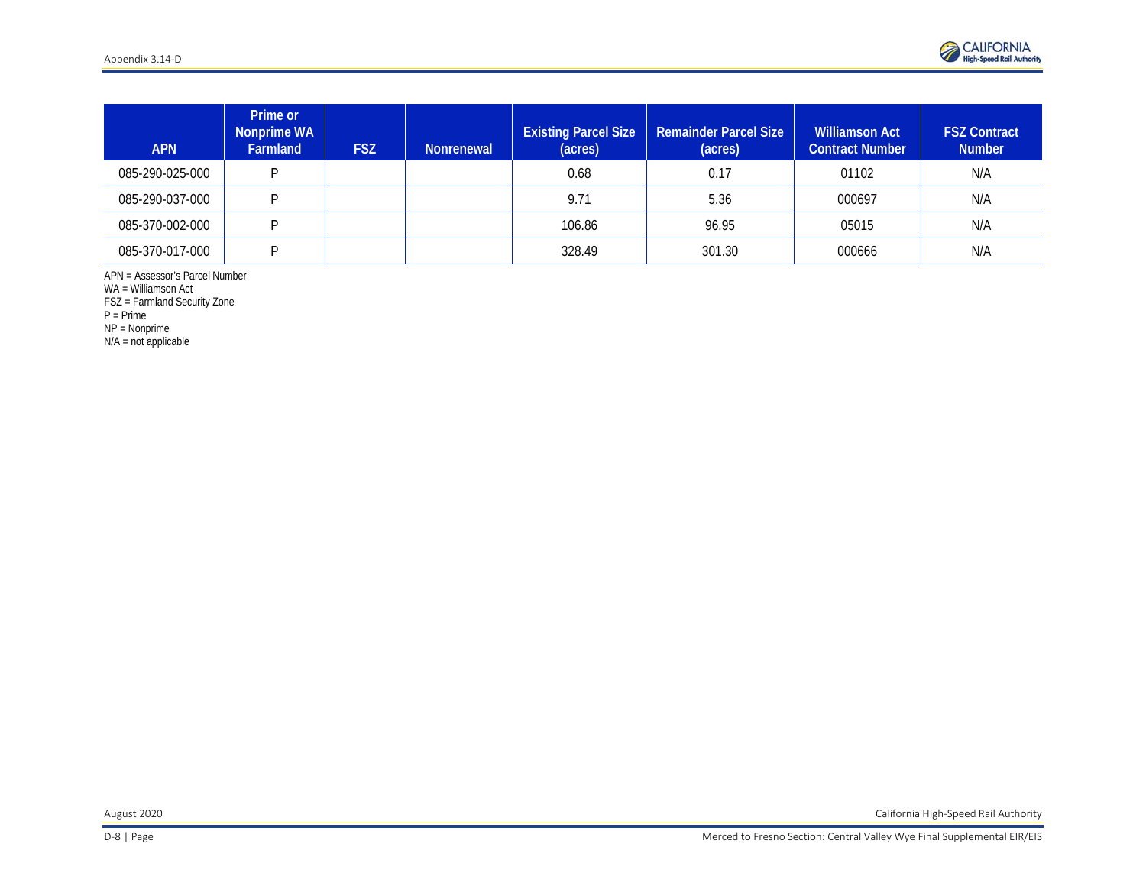

| <b>APN</b>      | Prime or<br>Nonprime WA<br><b>Farmland</b> | <b>FSZ</b> | Nonrenewal | <b>Existing Parcel Size</b><br>(acres) | <b>Remainder Parcel Size</b><br>(acres) | <b>Williamson Act</b><br><b>Contract Number</b> | <b>FSZ Contract</b><br><b>Number</b> |
|-----------------|--------------------------------------------|------------|------------|----------------------------------------|-----------------------------------------|-------------------------------------------------|--------------------------------------|
| 085-290-025-000 | D                                          |            |            | 0.68                                   | 0.17                                    | 01102                                           | N/A                                  |
| 085-290-037-000 | D                                          |            |            | 9.71                                   | 5.36                                    | 000697                                          | N/A                                  |
| 085-370-002-000 | D                                          |            |            | 106.86                                 | 96.95                                   | 05015                                           | N/A                                  |
| 085-370-017-000 | D                                          |            |            | 328.49                                 | 301.30                                  | 000666                                          | N/A                                  |

APN = Assessor's Parcel Number

WA = Williamson Act

FSZ = Farmland Security Zone

P = Prime

NP = Nonprime

N/A = not applicable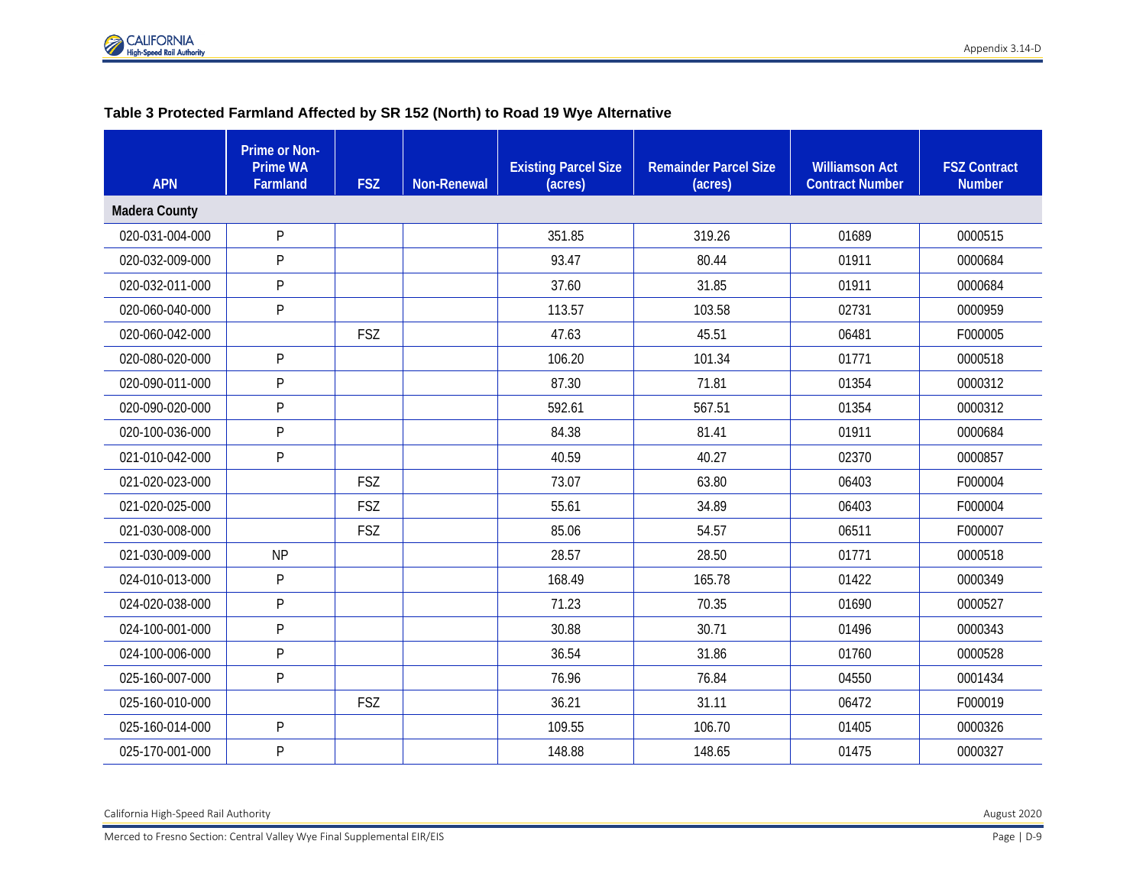### **Table 3 Protected Farmland Affected by SR 152 (North) to Road 19 Wye Alternative**

| <b>APN</b>           | <b>Prime or Non-</b><br><b>Prime WA</b><br><b>Farmland</b> | <b>FSZ</b> | <b>Non-Renewal</b> | <b>Existing Parcel Size</b><br>(acres) | <b>Remainder Parcel Size</b><br>(acres) | <b>Williamson Act</b><br><b>Contract Number</b> | <b>FSZ Contract</b><br><b>Number</b> |
|----------------------|------------------------------------------------------------|------------|--------------------|----------------------------------------|-----------------------------------------|-------------------------------------------------|--------------------------------------|
| <b>Madera County</b> |                                                            |            |                    |                                        |                                         |                                                 |                                      |
| 020-031-004-000      | $\mathsf{P}$                                               |            |                    | 351.85                                 | 319.26                                  | 01689                                           | 0000515                              |
| 020-032-009-000      | P                                                          |            |                    | 93.47                                  | 80.44                                   | 01911                                           | 0000684                              |
| 020-032-011-000      | P                                                          |            |                    | 37.60                                  | 31.85                                   | 01911                                           | 0000684                              |
| 020-060-040-000      | $\mathsf{P}$                                               |            |                    | 113.57                                 | 103.58                                  | 02731                                           | 0000959                              |
| 020-060-042-000      |                                                            | <b>FSZ</b> |                    | 47.63                                  | 45.51                                   | 06481                                           | F000005                              |
| 020-080-020-000      | P                                                          |            |                    | 106.20                                 | 101.34                                  | 01771                                           | 0000518                              |
| 020-090-011-000      | $\mathsf{P}$                                               |            |                    | 87.30                                  | 71.81                                   | 01354                                           | 0000312                              |
| 020-090-020-000      | $\mathsf{P}$                                               |            |                    | 592.61                                 | 567.51                                  | 01354                                           | 0000312                              |
| 020-100-036-000      | $\mathsf{P}$                                               |            |                    | 84.38                                  | 81.41                                   | 01911                                           | 0000684                              |
| 021-010-042-000      | $\mathsf{P}$                                               |            |                    | 40.59                                  | 40.27                                   | 02370                                           | 0000857                              |
| 021-020-023-000      |                                                            | <b>FSZ</b> |                    | 73.07                                  | 63.80                                   | 06403                                           | F000004                              |
| 021-020-025-000      |                                                            | <b>FSZ</b> |                    | 55.61                                  | 34.89                                   | 06403                                           | F000004                              |
| 021-030-008-000      |                                                            | <b>FSZ</b> |                    | 85.06                                  | 54.57                                   | 06511                                           | F000007                              |
| 021-030-009-000      | <b>NP</b>                                                  |            |                    | 28.57                                  | 28.50                                   | 01771                                           | 0000518                              |
| 024-010-013-000      | $\mathsf{P}$                                               |            |                    | 168.49                                 | 165.78                                  | 01422                                           | 0000349                              |
| 024-020-038-000      | $\mathsf{P}$                                               |            |                    | 71.23                                  | 70.35                                   | 01690                                           | 0000527                              |
| 024-100-001-000      | $\mathsf{P}$                                               |            |                    | 30.88                                  | 30.71                                   | 01496                                           | 0000343                              |
| 024-100-006-000      | $\mathsf{P}$                                               |            |                    | 36.54                                  | 31.86                                   | 01760                                           | 0000528                              |
| 025-160-007-000      | $\mathsf{P}$                                               |            |                    | 76.96                                  | 76.84                                   | 04550                                           | 0001434                              |
| 025-160-010-000      |                                                            | <b>FSZ</b> |                    | 36.21                                  | 31.11                                   | 06472                                           | F000019                              |
| 025-160-014-000      | P                                                          |            |                    | 109.55                                 | 106.70                                  | 01405                                           | 0000326                              |
| 025-170-001-000      | $\mathsf{P}$                                               |            |                    | 148.88                                 | 148.65                                  | 01475                                           | 0000327                              |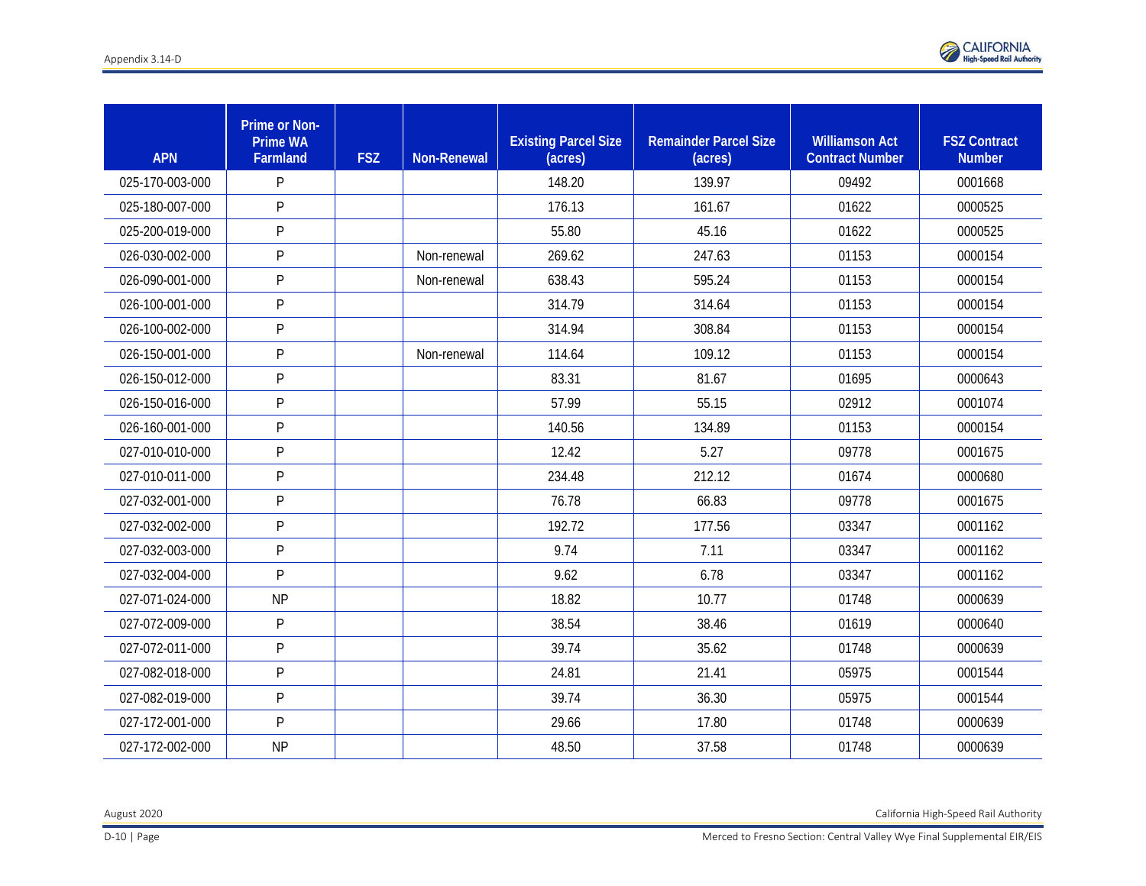

| <b>APN</b>      | Prime or Non-<br><b>Prime WA</b><br>Farmland | <b>FSZ</b> | <b>Non-Renewal</b> | <b>Existing Parcel Size</b><br>(acres) | <b>Remainder Parcel Size</b><br>(acres) | <b>Williamson Act</b><br><b>Contract Number</b> | <b>FSZ Contract</b><br><b>Number</b> |
|-----------------|----------------------------------------------|------------|--------------------|----------------------------------------|-----------------------------------------|-------------------------------------------------|--------------------------------------|
| 025-170-003-000 | P                                            |            |                    | 148.20                                 | 139.97                                  | 09492                                           | 0001668                              |
| 025-180-007-000 | P                                            |            |                    | 176.13                                 | 161.67                                  | 01622                                           | 0000525                              |
| 025-200-019-000 | P                                            |            |                    | 55.80                                  | 45.16                                   | 01622                                           | 0000525                              |
| 026-030-002-000 | P                                            |            | Non-renewal        | 269.62                                 | 247.63                                  | 01153                                           | 0000154                              |
| 026-090-001-000 | P                                            |            | Non-renewal        | 638.43                                 | 595.24                                  | 01153                                           | 0000154                              |
| 026-100-001-000 | P                                            |            |                    | 314.79                                 | 314.64                                  | 01153                                           | 0000154                              |
| 026-100-002-000 | P                                            |            |                    | 314.94                                 | 308.84                                  | 01153                                           | 0000154                              |
| 026-150-001-000 | P                                            |            | Non-renewal        | 114.64                                 | 109.12                                  | 01153                                           | 0000154                              |
| 026-150-012-000 | P                                            |            |                    | 83.31                                  | 81.67                                   | 01695                                           | 0000643                              |
| 026-150-016-000 | P                                            |            |                    | 57.99                                  | 55.15                                   | 02912                                           | 0001074                              |
| 026-160-001-000 | P                                            |            |                    | 140.56                                 | 134.89                                  | 01153                                           | 0000154                              |
| 027-010-010-000 | P                                            |            |                    | 12.42                                  | 5.27                                    | 09778                                           | 0001675                              |
| 027-010-011-000 | P                                            |            |                    | 234.48                                 | 212.12                                  | 01674                                           | 0000680                              |
| 027-032-001-000 | P                                            |            |                    | 76.78                                  | 66.83                                   | 09778                                           | 0001675                              |
| 027-032-002-000 | P                                            |            |                    | 192.72                                 | 177.56                                  | 03347                                           | 0001162                              |
| 027-032-003-000 | P                                            |            |                    | 9.74                                   | 7.11                                    | 03347                                           | 0001162                              |
| 027-032-004-000 | P                                            |            |                    | 9.62                                   | 6.78                                    | 03347                                           | 0001162                              |
| 027-071-024-000 | <b>NP</b>                                    |            |                    | 18.82                                  | 10.77                                   | 01748                                           | 0000639                              |
| 027-072-009-000 | P                                            |            |                    | 38.54                                  | 38.46                                   | 01619                                           | 0000640                              |
| 027-072-011-000 | P                                            |            |                    | 39.74                                  | 35.62                                   | 01748                                           | 0000639                              |
| 027-082-018-000 | P                                            |            |                    | 24.81                                  | 21.41                                   | 05975                                           | 0001544                              |
| 027-082-019-000 | P                                            |            |                    | 39.74                                  | 36.30                                   | 05975                                           | 0001544                              |
| 027-172-001-000 | $\mathsf{P}$                                 |            |                    | 29.66                                  | 17.80                                   | 01748                                           | 0000639                              |
| 027-172-002-000 | <b>NP</b>                                    |            |                    | 48.50                                  | 37.58                                   | 01748                                           | 0000639                              |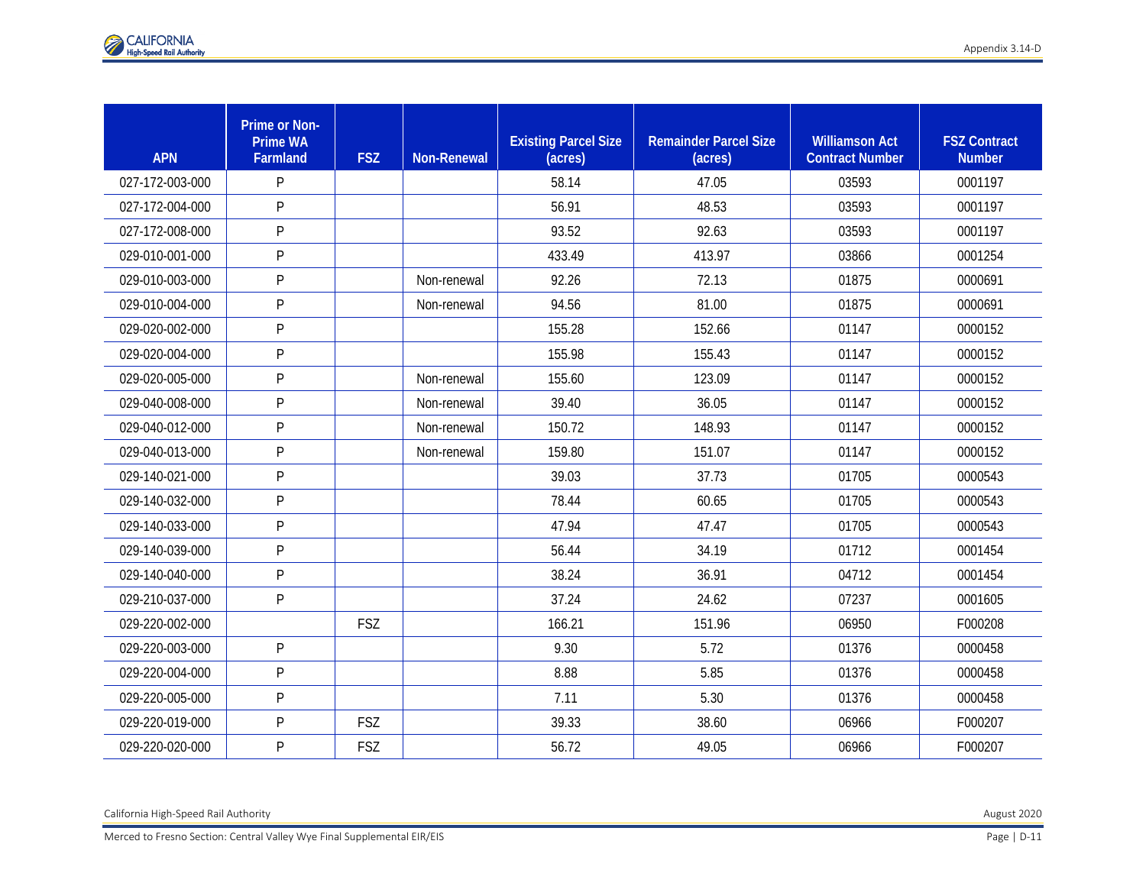| <b>APN</b>      | <b>Prime or Non-</b><br><b>Prime WA</b><br>Farmland | <b>FSZ</b> | <b>Non-Renewal</b> | <b>Existing Parcel Size</b><br>(acres) | <b>Remainder Parcel Size</b><br>(acres) | <b>Williamson Act</b><br><b>Contract Number</b> | <b>FSZ Contract</b><br><b>Number</b> |
|-----------------|-----------------------------------------------------|------------|--------------------|----------------------------------------|-----------------------------------------|-------------------------------------------------|--------------------------------------|
| 027-172-003-000 | P                                                   |            |                    | 58.14                                  | 47.05                                   | 03593                                           | 0001197                              |
| 027-172-004-000 | P                                                   |            |                    | 56.91                                  | 48.53                                   | 03593                                           | 0001197                              |
| 027-172-008-000 | P                                                   |            |                    | 93.52                                  | 92.63                                   | 03593                                           | 0001197                              |
| 029-010-001-000 | P                                                   |            |                    | 433.49                                 | 413.97                                  | 03866                                           | 0001254                              |
| 029-010-003-000 | P                                                   |            | Non-renewal        | 92.26                                  | 72.13                                   | 01875                                           | 0000691                              |
| 029-010-004-000 | P                                                   |            | Non-renewal        | 94.56                                  | 81.00                                   | 01875                                           | 0000691                              |
| 029-020-002-000 | P                                                   |            |                    | 155.28                                 | 152.66                                  | 01147                                           | 0000152                              |
| 029-020-004-000 | P                                                   |            |                    | 155.98                                 | 155.43                                  | 01147                                           | 0000152                              |
| 029-020-005-000 | P                                                   |            | Non-renewal        | 155.60                                 | 123.09                                  | 01147                                           | 0000152                              |
| 029-040-008-000 | P                                                   |            | Non-renewal        | 39.40                                  | 36.05                                   | 01147                                           | 0000152                              |
| 029-040-012-000 | P                                                   |            | Non-renewal        | 150.72                                 | 148.93                                  | 01147                                           | 0000152                              |
| 029-040-013-000 | P                                                   |            | Non-renewal        | 159.80                                 | 151.07                                  | 01147                                           | 0000152                              |
| 029-140-021-000 | P                                                   |            |                    | 39.03                                  | 37.73                                   | 01705                                           | 0000543                              |
| 029-140-032-000 | P                                                   |            |                    | 78.44                                  | 60.65                                   | 01705                                           | 0000543                              |
| 029-140-033-000 | P                                                   |            |                    | 47.94                                  | 47.47                                   | 01705                                           | 0000543                              |
| 029-140-039-000 | P                                                   |            |                    | 56.44                                  | 34.19                                   | 01712                                           | 0001454                              |
| 029-140-040-000 | $\sf P$                                             |            |                    | 38.24                                  | 36.91                                   | 04712                                           | 0001454                              |
| 029-210-037-000 | P                                                   |            |                    | 37.24                                  | 24.62                                   | 07237                                           | 0001605                              |
| 029-220-002-000 |                                                     | <b>FSZ</b> |                    | 166.21                                 | 151.96                                  | 06950                                           | F000208                              |
| 029-220-003-000 | P                                                   |            |                    | 9.30                                   | 5.72                                    | 01376                                           | 0000458                              |
| 029-220-004-000 | P                                                   |            |                    | 8.88                                   | 5.85                                    | 01376                                           | 0000458                              |
| 029-220-005-000 | P                                                   |            |                    | 7.11                                   | 5.30                                    | 01376                                           | 0000458                              |
| 029-220-019-000 | P                                                   | <b>FSZ</b> |                    | 39.33                                  | 38.60                                   | 06966                                           | F000207                              |
| 029-220-020-000 | P                                                   | <b>FSZ</b> |                    | 56.72                                  | 49.05                                   | 06966                                           | F000207                              |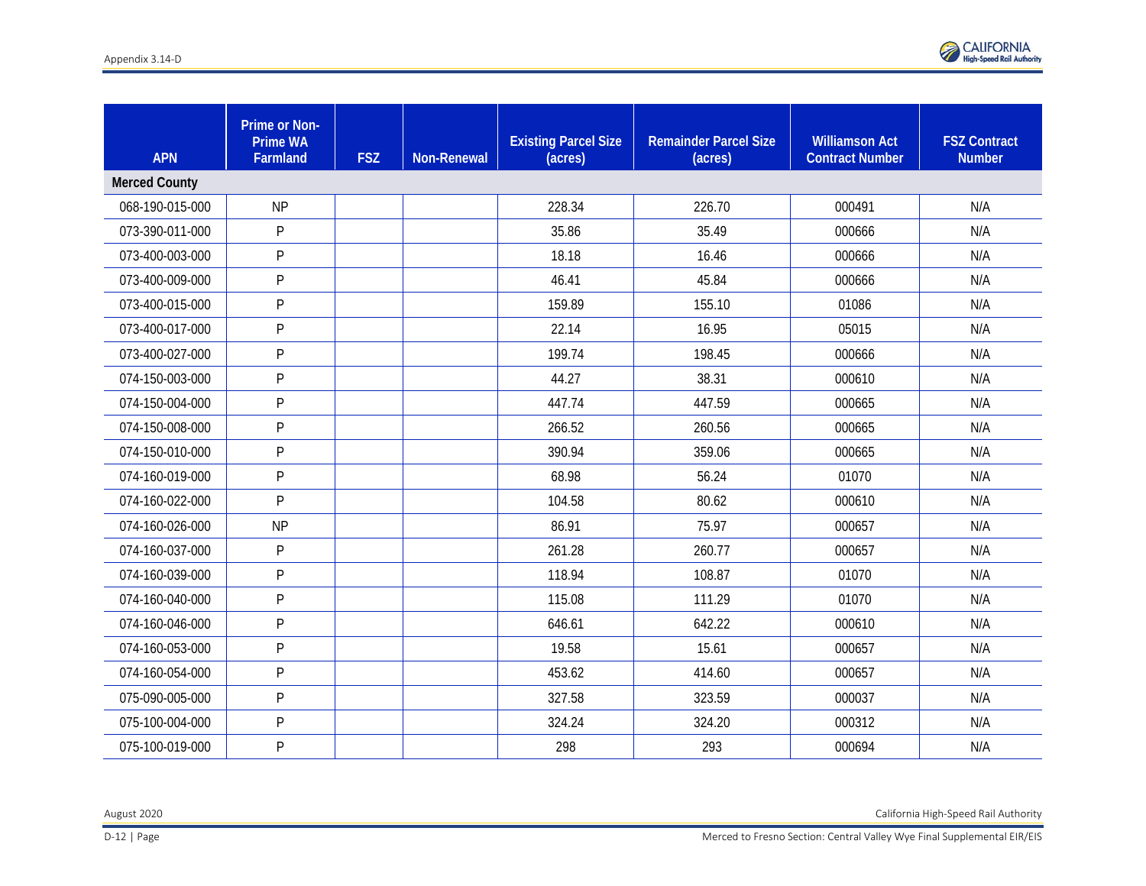

| <b>APN</b>           | Prime or Non-<br><b>Prime WA</b><br>Farmland | <b>FSZ</b> | Non-Renewal | <b>Existing Parcel Size</b><br>(acres) | <b>Remainder Parcel Size</b><br>(acres) | <b>Williamson Act</b><br><b>Contract Number</b> | <b>FSZ Contract</b><br><b>Number</b> |
|----------------------|----------------------------------------------|------------|-------------|----------------------------------------|-----------------------------------------|-------------------------------------------------|--------------------------------------|
| <b>Merced County</b> |                                              |            |             |                                        |                                         |                                                 |                                      |
| 068-190-015-000      | <b>NP</b>                                    |            |             | 228.34                                 | 226.70                                  | 000491                                          | N/A                                  |
| 073-390-011-000      | P                                            |            |             | 35.86                                  | 35.49                                   | 000666                                          | N/A                                  |
| 073-400-003-000      | P                                            |            |             | 18.18                                  | 16.46                                   | 000666                                          | N/A                                  |
| 073-400-009-000      | P                                            |            |             | 46.41                                  | 45.84                                   | 000666                                          | N/A                                  |
| 073-400-015-000      | ${\sf P}$                                    |            |             | 159.89                                 | 155.10                                  | 01086                                           | N/A                                  |
| 073-400-017-000      | P                                            |            |             | 22.14                                  | 16.95                                   | 05015                                           | N/A                                  |
| 073-400-027-000      | P                                            |            |             | 199.74                                 | 198.45                                  | 000666                                          | N/A                                  |
| 074-150-003-000      | P                                            |            |             | 44.27                                  | 38.31                                   | 000610                                          | N/A                                  |
| 074-150-004-000      | P                                            |            |             | 447.74                                 | 447.59                                  | 000665                                          | N/A                                  |
| 074-150-008-000      | $\mathsf{P}$                                 |            |             | 266.52                                 | 260.56                                  | 000665                                          | N/A                                  |
| 074-150-010-000      | $\mathsf{P}$                                 |            |             | 390.94                                 | 359.06                                  | 000665                                          | N/A                                  |
| 074-160-019-000      | ${\sf P}$                                    |            |             | 68.98                                  | 56.24                                   | 01070                                           | N/A                                  |
| 074-160-022-000      | P                                            |            |             | 104.58                                 | 80.62                                   | 000610                                          | N/A                                  |
| 074-160-026-000      | <b>NP</b>                                    |            |             | 86.91                                  | 75.97                                   | 000657                                          | N/A                                  |
| 074-160-037-000      | P                                            |            |             | 261.28                                 | 260.77                                  | 000657                                          | N/A                                  |
| 074-160-039-000      | P                                            |            |             | 118.94                                 | 108.87                                  | 01070                                           | N/A                                  |
| 074-160-040-000      | P                                            |            |             | 115.08                                 | 111.29                                  | 01070                                           | N/A                                  |
| 074-160-046-000      | P                                            |            |             | 646.61                                 | 642.22                                  | 000610                                          | N/A                                  |
| 074-160-053-000      | P                                            |            |             | 19.58                                  | 15.61                                   | 000657                                          | N/A                                  |
| 074-160-054-000      | P                                            |            |             | 453.62                                 | 414.60                                  | 000657                                          | N/A                                  |
| 075-090-005-000      | ${\sf P}$                                    |            |             | 327.58                                 | 323.59                                  | 000037                                          | N/A                                  |
| 075-100-004-000      | P                                            |            |             | 324.24                                 | 324.20                                  | 000312                                          | N/A                                  |
| 075-100-019-000      | P                                            |            |             | 298                                    | 293                                     | 000694                                          | N/A                                  |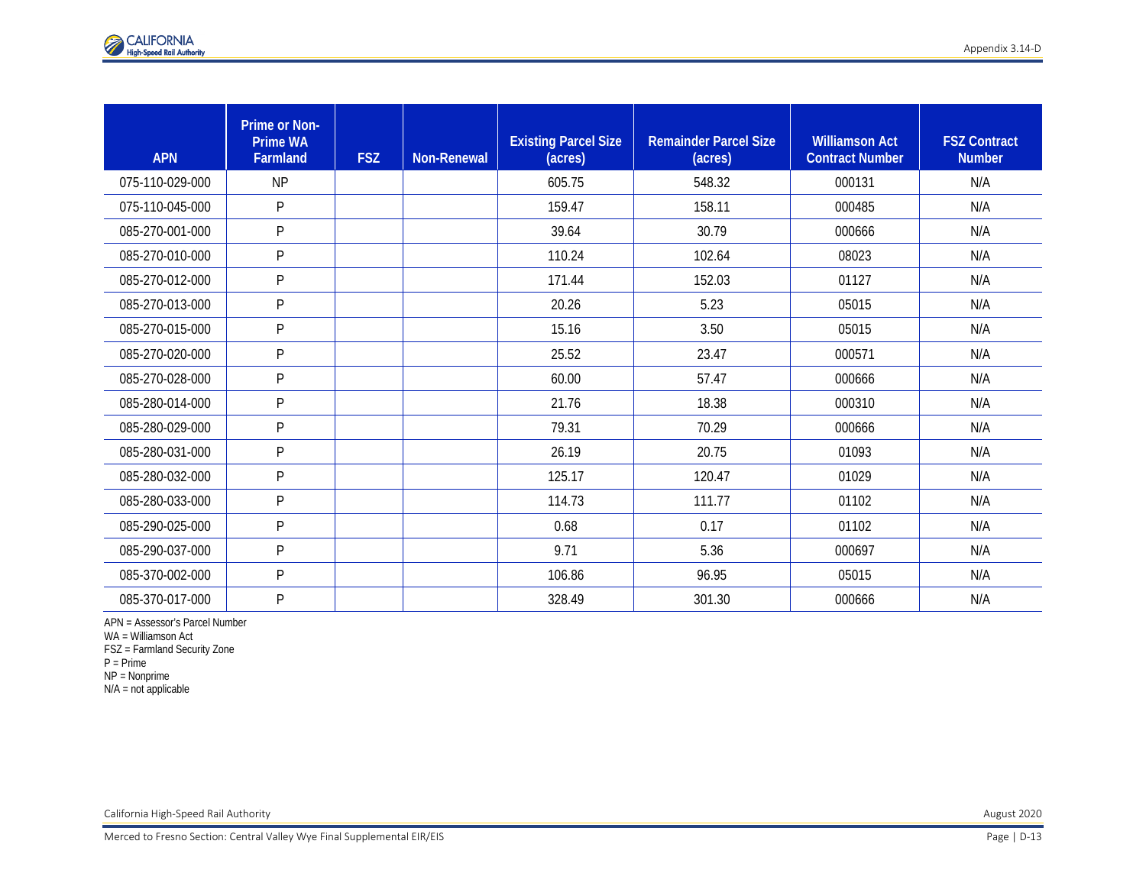| <b>APN</b>      | <b>Prime or Non-</b><br><b>Prime WA</b><br>Farmland | <b>FSZ</b> | Non-Renewal | <b>Existing Parcel Size</b><br>(acres) | <b>Remainder Parcel Size</b><br>(acres) | <b>Williamson Act</b><br><b>Contract Number</b> | <b>FSZ Contract</b><br><b>Number</b> |
|-----------------|-----------------------------------------------------|------------|-------------|----------------------------------------|-----------------------------------------|-------------------------------------------------|--------------------------------------|
| 075-110-029-000 | <b>NP</b>                                           |            |             | 605.75                                 | 548.32                                  | 000131                                          | N/A                                  |
| 075-110-045-000 | P                                                   |            |             | 159.47                                 | 158.11                                  | 000485                                          | N/A                                  |
| 085-270-001-000 | P                                                   |            |             | 39.64                                  | 30.79                                   | 000666                                          | N/A                                  |
| 085-270-010-000 | P                                                   |            |             | 110.24                                 | 102.64                                  | 08023                                           | N/A                                  |
| 085-270-012-000 | P                                                   |            |             | 171.44                                 | 152.03                                  | 01127                                           | N/A                                  |
| 085-270-013-000 | P                                                   |            |             | 20.26                                  | 5.23                                    | 05015                                           | N/A                                  |
| 085-270-015-000 | P                                                   |            |             | 15.16                                  | 3.50                                    | 05015                                           | N/A                                  |
| 085-270-020-000 | P                                                   |            |             | 25.52                                  | 23.47                                   | 000571                                          | N/A                                  |
| 085-270-028-000 | P                                                   |            |             | 60.00                                  | 57.47                                   | 000666                                          | N/A                                  |
| 085-280-014-000 | P                                                   |            |             | 21.76                                  | 18.38                                   | 000310                                          | N/A                                  |
| 085-280-029-000 | P                                                   |            |             | 79.31                                  | 70.29                                   | 000666                                          | N/A                                  |
| 085-280-031-000 | P                                                   |            |             | 26.19                                  | 20.75                                   | 01093                                           | N/A                                  |
| 085-280-032-000 | P                                                   |            |             | 125.17                                 | 120.47                                  | 01029                                           | N/A                                  |
| 085-280-033-000 | P                                                   |            |             | 114.73                                 | 111.77                                  | 01102                                           | N/A                                  |
| 085-290-025-000 | P                                                   |            |             | 0.68                                   | 0.17                                    | 01102                                           | N/A                                  |
| 085-290-037-000 | P                                                   |            |             | 9.71                                   | 5.36                                    | 000697                                          | N/A                                  |
| 085-370-002-000 | P                                                   |            |             | 106.86                                 | 96.95                                   | 05015                                           | N/A                                  |
| 085-370-017-000 | P                                                   |            |             | 328.49                                 | 301.30                                  | 000666                                          | N/A                                  |

APN = Assessor's Parcel Number

WA = Williamson Act

FSZ = Farmland Security Zone

P = Prime

NP = Nonprime

N/A = not applicable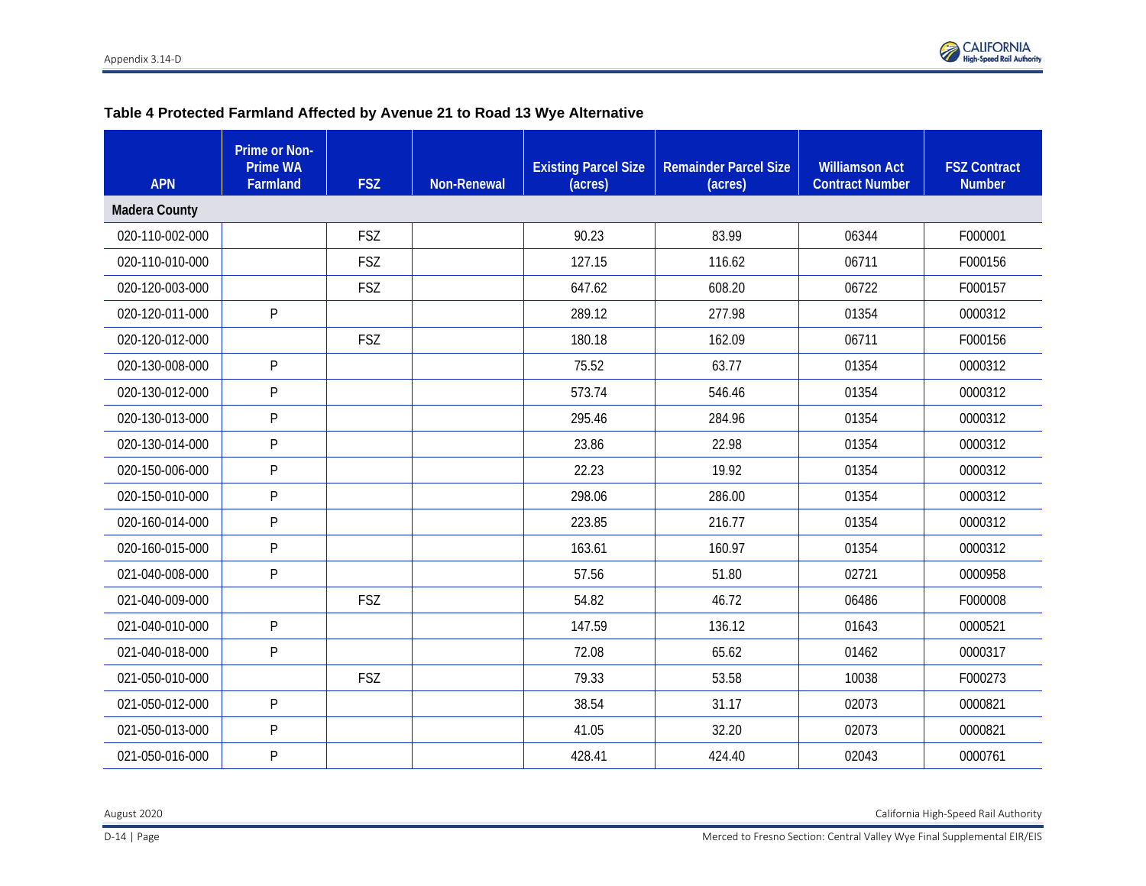

# **Table 4 Protected Farmland Affected by Avenue 21 to Road 13 Wye Alternative**

| <b>APN</b>           | Prime or Non-<br><b>Prime WA</b><br>Farmland | <b>FSZ</b> | <b>Non-Renewal</b> | <b>Existing Parcel Size</b><br>(acres) | <b>Remainder Parcel Size</b><br>(acres) | <b>Williamson Act</b><br><b>Contract Number</b> | <b>FSZ Contract</b><br><b>Number</b> |
|----------------------|----------------------------------------------|------------|--------------------|----------------------------------------|-----------------------------------------|-------------------------------------------------|--------------------------------------|
| <b>Madera County</b> |                                              |            |                    |                                        |                                         |                                                 |                                      |
| 020-110-002-000      |                                              | <b>FSZ</b> |                    | 90.23                                  | 83.99                                   | 06344                                           | F000001                              |
| 020-110-010-000      |                                              | <b>FSZ</b> |                    | 127.15                                 | 116.62                                  | 06711                                           | F000156                              |
| 020-120-003-000      |                                              | <b>FSZ</b> |                    | 647.62                                 | 608.20                                  | 06722                                           | F000157                              |
| 020-120-011-000      | P                                            |            |                    | 289.12                                 | 277.98                                  | 01354                                           | 0000312                              |
| 020-120-012-000      |                                              | <b>FSZ</b> |                    | 180.18                                 | 162.09                                  | 06711                                           | F000156                              |
| 020-130-008-000      | P                                            |            |                    | 75.52                                  | 63.77                                   | 01354                                           | 0000312                              |
| 020-130-012-000      | P                                            |            |                    | 573.74                                 | 546.46                                  | 01354                                           | 0000312                              |
| 020-130-013-000      | P                                            |            |                    | 295.46                                 | 284.96                                  | 01354                                           | 0000312                              |
| 020-130-014-000      | P                                            |            |                    | 23.86                                  | 22.98                                   | 01354                                           | 0000312                              |
| 020-150-006-000      | $\mathsf{P}$                                 |            |                    | 22.23                                  | 19.92                                   | 01354                                           | 0000312                              |
| 020-150-010-000      | P                                            |            |                    | 298.06                                 | 286.00                                  | 01354                                           | 0000312                              |
| 020-160-014-000      | $\mathsf{P}$                                 |            |                    | 223.85                                 | 216.77                                  | 01354                                           | 0000312                              |
| 020-160-015-000      | P                                            |            |                    | 163.61                                 | 160.97                                  | 01354                                           | 0000312                              |
| 021-040-008-000      | P                                            |            |                    | 57.56                                  | 51.80                                   | 02721                                           | 0000958                              |
| 021-040-009-000      |                                              | <b>FSZ</b> |                    | 54.82                                  | 46.72                                   | 06486                                           | F000008                              |
| 021-040-010-000      | P                                            |            |                    | 147.59                                 | 136.12                                  | 01643                                           | 0000521                              |
| 021-040-018-000      | P                                            |            |                    | 72.08                                  | 65.62                                   | 01462                                           | 0000317                              |
| 021-050-010-000      |                                              | <b>FSZ</b> |                    | 79.33                                  | 53.58                                   | 10038                                           | F000273                              |
| 021-050-012-000      | P                                            |            |                    | 38.54                                  | 31.17                                   | 02073                                           | 0000821                              |
| 021-050-013-000      | P                                            |            |                    | 41.05                                  | 32.20                                   | 02073                                           | 0000821                              |
| 021-050-016-000      | ${\sf P}$                                    |            |                    | 428.41                                 | 424.40                                  | 02043                                           | 0000761                              |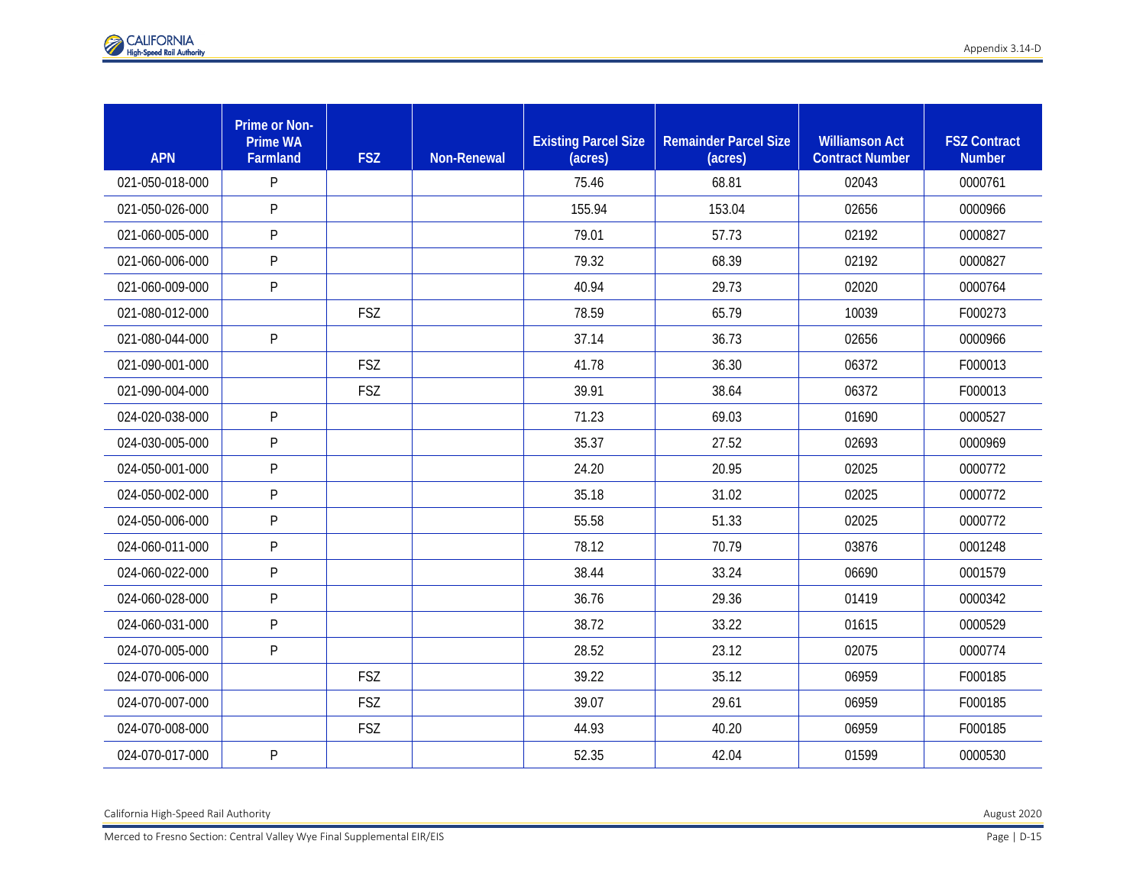| <b>APN</b>      | <b>Prime or Non-</b><br><b>Prime WA</b><br>Farmland | <b>FSZ</b> | <b>Non-Renewal</b> | <b>Existing Parcel Size</b><br>(acres) | <b>Remainder Parcel Size</b><br>(acres) | <b>Williamson Act</b><br><b>Contract Number</b> | <b>FSZ Contract</b><br><b>Number</b> |
|-----------------|-----------------------------------------------------|------------|--------------------|----------------------------------------|-----------------------------------------|-------------------------------------------------|--------------------------------------|
| 021-050-018-000 | P                                                   |            |                    | 75.46                                  | 68.81                                   | 02043                                           | 0000761                              |
| 021-050-026-000 | P                                                   |            |                    | 155.94                                 | 153.04                                  | 02656                                           | 0000966                              |
| 021-060-005-000 | P                                                   |            |                    | 79.01                                  | 57.73                                   | 02192                                           | 0000827                              |
| 021-060-006-000 | P                                                   |            |                    | 79.32                                  | 68.39                                   | 02192                                           | 0000827                              |
| 021-060-009-000 | P                                                   |            |                    | 40.94                                  | 29.73                                   | 02020                                           | 0000764                              |
| 021-080-012-000 |                                                     | <b>FSZ</b> |                    | 78.59                                  | 65.79                                   | 10039                                           | F000273                              |
| 021-080-044-000 | P                                                   |            |                    | 37.14                                  | 36.73                                   | 02656                                           | 0000966                              |
| 021-090-001-000 |                                                     | <b>FSZ</b> |                    | 41.78                                  | 36.30                                   | 06372                                           | F000013                              |
| 021-090-004-000 |                                                     | <b>FSZ</b> |                    | 39.91                                  | 38.64                                   | 06372                                           | F000013                              |
| 024-020-038-000 | P                                                   |            |                    | 71.23                                  | 69.03                                   | 01690                                           | 0000527                              |
| 024-030-005-000 | P                                                   |            |                    | 35.37                                  | 27.52                                   | 02693                                           | 0000969                              |
| 024-050-001-000 | P                                                   |            |                    | 24.20                                  | 20.95                                   | 02025                                           | 0000772                              |
| 024-050-002-000 | P                                                   |            |                    | 35.18                                  | 31.02                                   | 02025                                           | 0000772                              |
| 024-050-006-000 | P                                                   |            |                    | 55.58                                  | 51.33                                   | 02025                                           | 0000772                              |
| 024-060-011-000 | P                                                   |            |                    | 78.12                                  | 70.79                                   | 03876                                           | 0001248                              |
| 024-060-022-000 | P                                                   |            |                    | 38.44                                  | 33.24                                   | 06690                                           | 0001579                              |
| 024-060-028-000 | P                                                   |            |                    | 36.76                                  | 29.36                                   | 01419                                           | 0000342                              |
| 024-060-031-000 | P                                                   |            |                    | 38.72                                  | 33.22                                   | 01615                                           | 0000529                              |
| 024-070-005-000 | P                                                   |            |                    | 28.52                                  | 23.12                                   | 02075                                           | 0000774                              |
| 024-070-006-000 |                                                     | <b>FSZ</b> |                    | 39.22                                  | 35.12                                   | 06959                                           | F000185                              |
| 024-070-007-000 |                                                     | <b>FSZ</b> |                    | 39.07                                  | 29.61                                   | 06959                                           | F000185                              |
| 024-070-008-000 |                                                     | <b>FSZ</b> |                    | 44.93                                  | 40.20                                   | 06959                                           | F000185                              |
| 024-070-017-000 | P                                                   |            |                    | 52.35                                  | 42.04                                   | 01599                                           | 0000530                              |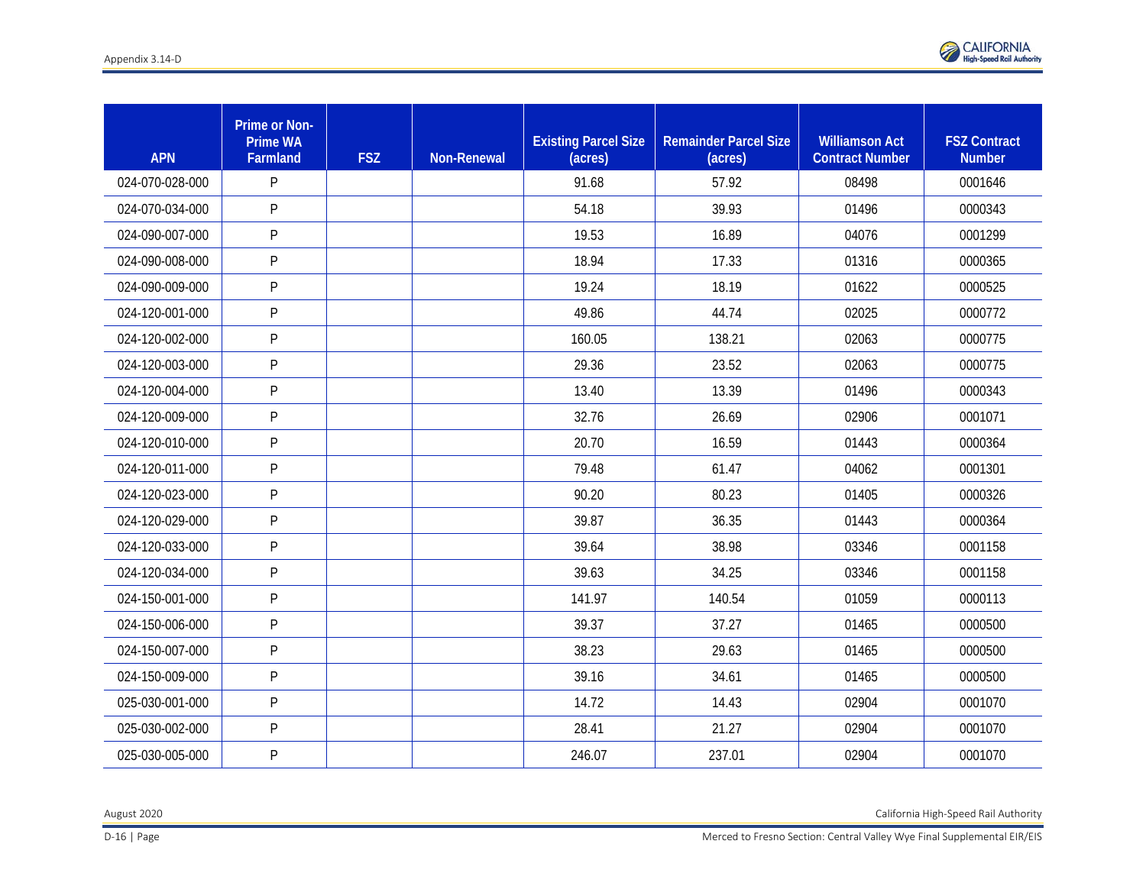

| <b>APN</b>      | Prime or Non-<br><b>Prime WA</b><br>Farmland | <b>FSZ</b> | <b>Non-Renewal</b> | <b>Existing Parcel Size</b><br>(acres) | <b>Remainder Parcel Size</b><br>(acres) | <b>Williamson Act</b><br><b>Contract Number</b> | <b>FSZ Contract</b><br><b>Number</b> |
|-----------------|----------------------------------------------|------------|--------------------|----------------------------------------|-----------------------------------------|-------------------------------------------------|--------------------------------------|
| 024-070-028-000 | P                                            |            |                    | 91.68                                  | 57.92                                   | 08498                                           | 0001646                              |
| 024-070-034-000 | P                                            |            |                    | 54.18                                  | 39.93                                   | 01496                                           | 0000343                              |
| 024-090-007-000 | P                                            |            |                    | 19.53                                  | 16.89                                   | 04076                                           | 0001299                              |
| 024-090-008-000 | P                                            |            |                    | 18.94                                  | 17.33                                   | 01316                                           | 0000365                              |
| 024-090-009-000 | P                                            |            |                    | 19.24                                  | 18.19                                   | 01622                                           | 0000525                              |
| 024-120-001-000 | P                                            |            |                    | 49.86                                  | 44.74                                   | 02025                                           | 0000772                              |
| 024-120-002-000 | P                                            |            |                    | 160.05                                 | 138.21                                  | 02063                                           | 0000775                              |
| 024-120-003-000 | P                                            |            |                    | 29.36                                  | 23.52                                   | 02063                                           | 0000775                              |
| 024-120-004-000 | P                                            |            |                    | 13.40                                  | 13.39                                   | 01496                                           | 0000343                              |
| 024-120-009-000 | P                                            |            |                    | 32.76                                  | 26.69                                   | 02906                                           | 0001071                              |
| 024-120-010-000 | P                                            |            |                    | 20.70                                  | 16.59                                   | 01443                                           | 0000364                              |
| 024-120-011-000 | P                                            |            |                    | 79.48                                  | 61.47                                   | 04062                                           | 0001301                              |
| 024-120-023-000 | P                                            |            |                    | 90.20                                  | 80.23                                   | 01405                                           | 0000326                              |
| 024-120-029-000 | P                                            |            |                    | 39.87                                  | 36.35                                   | 01443                                           | 0000364                              |
| 024-120-033-000 | P                                            |            |                    | 39.64                                  | 38.98                                   | 03346                                           | 0001158                              |
| 024-120-034-000 | P                                            |            |                    | 39.63                                  | 34.25                                   | 03346                                           | 0001158                              |
| 024-150-001-000 | P                                            |            |                    | 141.97                                 | 140.54                                  | 01059                                           | 0000113                              |
| 024-150-006-000 | P                                            |            |                    | 39.37                                  | 37.27                                   | 01465                                           | 0000500                              |
| 024-150-007-000 | P                                            |            |                    | 38.23                                  | 29.63                                   | 01465                                           | 0000500                              |
| 024-150-009-000 | P                                            |            |                    | 39.16                                  | 34.61                                   | 01465                                           | 0000500                              |
| 025-030-001-000 | P                                            |            |                    | 14.72                                  | 14.43                                   | 02904                                           | 0001070                              |
| 025-030-002-000 | P                                            |            |                    | 28.41                                  | 21.27                                   | 02904                                           | 0001070                              |
| 025-030-005-000 | P                                            |            |                    | 246.07                                 | 237.01                                  | 02904                                           | 0001070                              |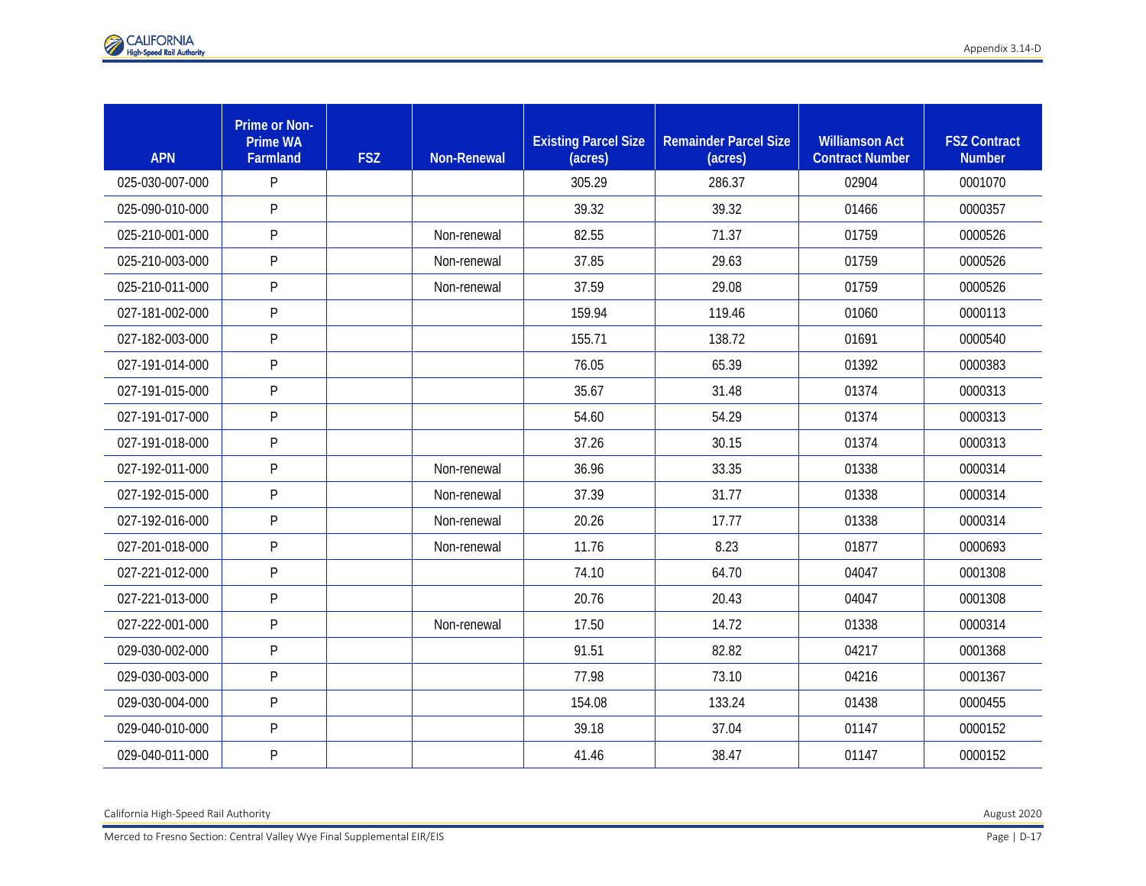| <b>APN</b>      | <b>Prime or Non-</b><br><b>Prime WA</b><br>Farmland | <b>FSZ</b> | <b>Non-Renewal</b> | <b>Existing Parcel Size</b><br>(acres) | <b>Remainder Parcel Size</b><br>(acres) | <b>Williamson Act</b><br><b>Contract Number</b> | <b>FSZ Contract</b><br><b>Number</b> |
|-----------------|-----------------------------------------------------|------------|--------------------|----------------------------------------|-----------------------------------------|-------------------------------------------------|--------------------------------------|
| 025-030-007-000 | P                                                   |            |                    | 305.29                                 | 286.37                                  | 02904                                           | 0001070                              |
| 025-090-010-000 | P                                                   |            |                    | 39.32                                  | 39.32                                   | 01466                                           | 0000357                              |
| 025-210-001-000 | P                                                   |            | Non-renewal        | 82.55                                  | 71.37                                   | 01759                                           | 0000526                              |
| 025-210-003-000 | P                                                   |            | Non-renewal        | 37.85                                  | 29.63                                   | 01759                                           | 0000526                              |
| 025-210-011-000 | P                                                   |            | Non-renewal        | 37.59                                  | 29.08                                   | 01759                                           | 0000526                              |
| 027-181-002-000 | P                                                   |            |                    | 159.94                                 | 119.46                                  | 01060                                           | 0000113                              |
| 027-182-003-000 | P                                                   |            |                    | 155.71                                 | 138.72                                  | 01691                                           | 0000540                              |
| 027-191-014-000 | P                                                   |            |                    | 76.05                                  | 65.39                                   | 01392                                           | 0000383                              |
| 027-191-015-000 | P                                                   |            |                    | 35.67                                  | 31.48                                   | 01374                                           | 0000313                              |
| 027-191-017-000 | P                                                   |            |                    | 54.60                                  | 54.29                                   | 01374                                           | 0000313                              |
| 027-191-018-000 | P                                                   |            |                    | 37.26                                  | 30.15                                   | 01374                                           | 0000313                              |
| 027-192-011-000 | P                                                   |            | Non-renewal        | 36.96                                  | 33.35                                   | 01338                                           | 0000314                              |
| 027-192-015-000 | P                                                   |            | Non-renewal        | 37.39                                  | 31.77                                   | 01338                                           | 0000314                              |
| 027-192-016-000 | P                                                   |            | Non-renewal        | 20.26                                  | 17.77                                   | 01338                                           | 0000314                              |
| 027-201-018-000 | P                                                   |            | Non-renewal        | 11.76                                  | 8.23                                    | 01877                                           | 0000693                              |
| 027-221-012-000 | P                                                   |            |                    | 74.10                                  | 64.70                                   | 04047                                           | 0001308                              |
| 027-221-013-000 | P                                                   |            |                    | 20.76                                  | 20.43                                   | 04047                                           | 0001308                              |
| 027-222-001-000 | P                                                   |            | Non-renewal        | 17.50                                  | 14.72                                   | 01338                                           | 0000314                              |
| 029-030-002-000 | P                                                   |            |                    | 91.51                                  | 82.82                                   | 04217                                           | 0001368                              |
| 029-030-003-000 | P                                                   |            |                    | 77.98                                  | 73.10                                   | 04216                                           | 0001367                              |
| 029-030-004-000 | P                                                   |            |                    | 154.08                                 | 133.24                                  | 01438                                           | 0000455                              |
| 029-040-010-000 | P                                                   |            |                    | 39.18                                  | 37.04                                   | 01147                                           | 0000152                              |
| 029-040-011-000 | P                                                   |            |                    | 41.46                                  | 38.47                                   | 01147                                           | 0000152                              |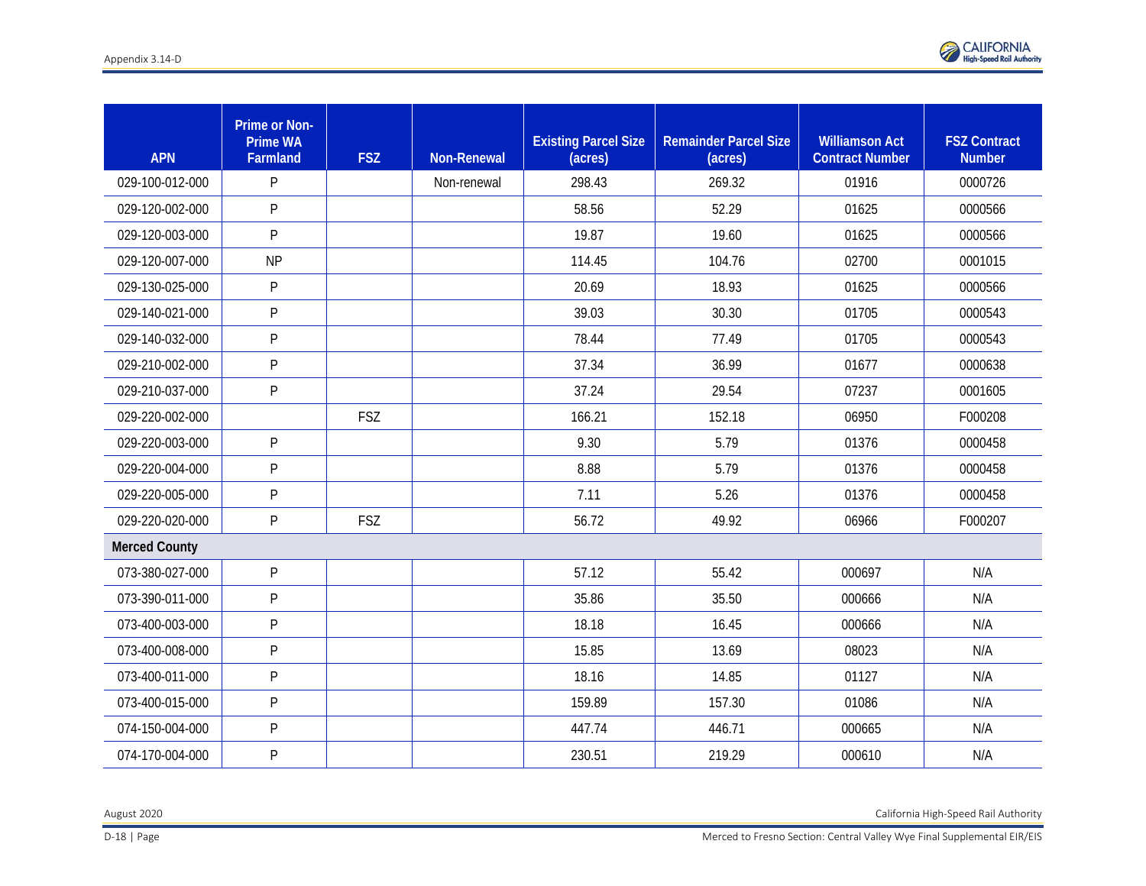

| <b>APN</b>           | Prime or Non-<br><b>Prime WA</b><br>Farmland | <b>FSZ</b> | <b>Non-Renewal</b> | <b>Existing Parcel Size</b><br>(acres) | <b>Remainder Parcel Size</b><br>(acres) | <b>Williamson Act</b><br><b>Contract Number</b> | <b>FSZ Contract</b><br><b>Number</b> |
|----------------------|----------------------------------------------|------------|--------------------|----------------------------------------|-----------------------------------------|-------------------------------------------------|--------------------------------------|
| 029-100-012-000      | P                                            |            | Non-renewal        | 298.43                                 | 269.32                                  | 01916                                           | 0000726                              |
| 029-120-002-000      | P                                            |            |                    | 58.56                                  | 52.29                                   | 01625                                           | 0000566                              |
| 029-120-003-000      | P                                            |            |                    | 19.87                                  | 19.60                                   | 01625                                           | 0000566                              |
| 029-120-007-000      | <b>NP</b>                                    |            |                    | 114.45                                 | 104.76                                  | 02700                                           | 0001015                              |
| 029-130-025-000      | P                                            |            |                    | 20.69                                  | 18.93                                   | 01625                                           | 0000566                              |
| 029-140-021-000      | P                                            |            |                    | 39.03                                  | 30.30                                   | 01705                                           | 0000543                              |
| 029-140-032-000      | P                                            |            |                    | 78.44                                  | 77.49                                   | 01705                                           | 0000543                              |
| 029-210-002-000      | P                                            |            |                    | 37.34                                  | 36.99                                   | 01677                                           | 0000638                              |
| 029-210-037-000      | P                                            |            |                    | 37.24                                  | 29.54                                   | 07237                                           | 0001605                              |
| 029-220-002-000      |                                              | <b>FSZ</b> |                    | 166.21                                 | 152.18                                  | 06950                                           | F000208                              |
| 029-220-003-000      | P                                            |            |                    | 9.30                                   | 5.79                                    | 01376                                           | 0000458                              |
| 029-220-004-000      | P                                            |            |                    | 8.88                                   | 5.79                                    | 01376                                           | 0000458                              |
| 029-220-005-000      | P                                            |            |                    | 7.11                                   | 5.26                                    | 01376                                           | 0000458                              |
| 029-220-020-000      | P                                            | <b>FSZ</b> |                    | 56.72                                  | 49.92                                   | 06966                                           | F000207                              |
| <b>Merced County</b> |                                              |            |                    |                                        |                                         |                                                 |                                      |
| 073-380-027-000      | P                                            |            |                    | 57.12                                  | 55.42                                   | 000697                                          | N/A                                  |
| 073-390-011-000      | P                                            |            |                    | 35.86                                  | 35.50                                   | 000666                                          | N/A                                  |
| 073-400-003-000      | P                                            |            |                    | 18.18                                  | 16.45                                   | 000666                                          | N/A                                  |
| 073-400-008-000      | P                                            |            |                    | 15.85                                  | 13.69                                   | 08023                                           | N/A                                  |
| 073-400-011-000      | P                                            |            |                    | 18.16                                  | 14.85                                   | 01127                                           | N/A                                  |
| 073-400-015-000      | P                                            |            |                    | 159.89                                 | 157.30                                  | 01086                                           | N/A                                  |
| 074-150-004-000      | P                                            |            |                    | 447.74                                 | 446.71                                  | 000665                                          | N/A                                  |
| 074-170-004-000      | P                                            |            |                    | 230.51                                 | 219.29                                  | 000610                                          | N/A                                  |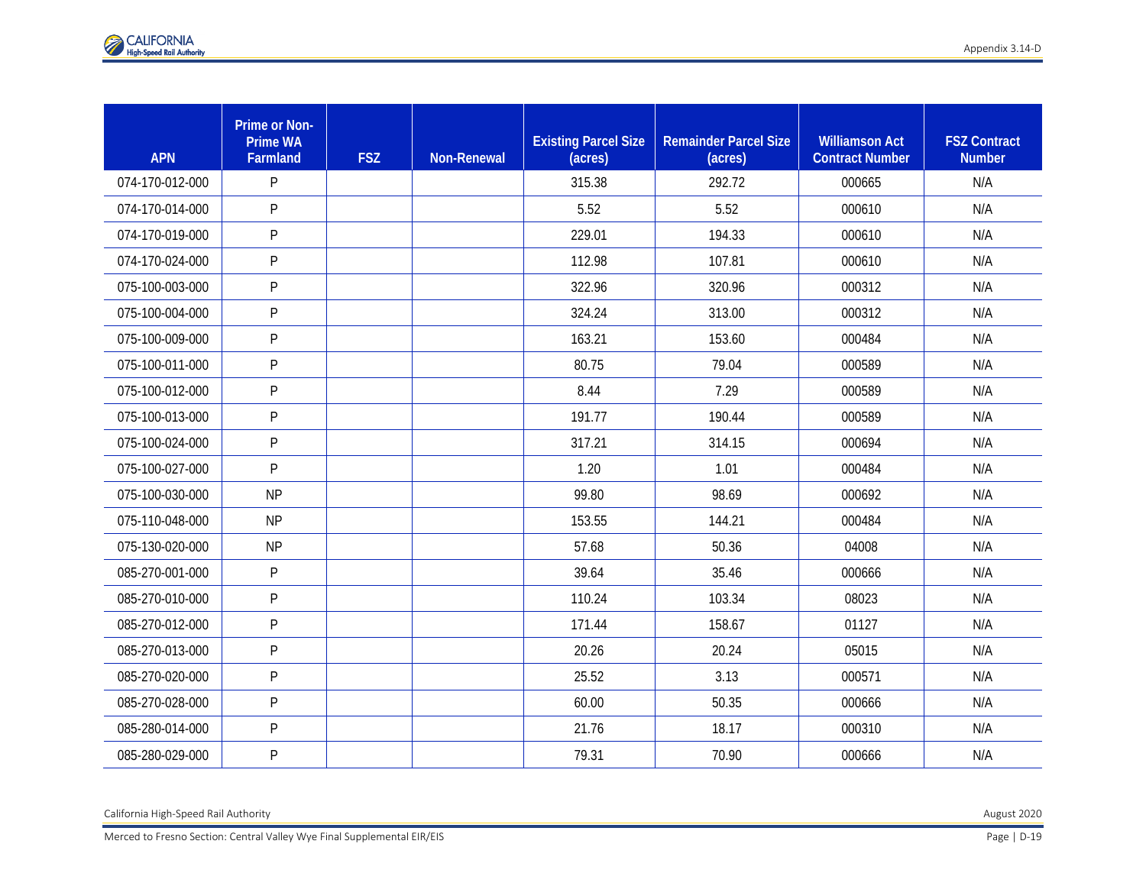| <b>APN</b>      | <b>Prime or Non-</b><br><b>Prime WA</b><br>Farmland | <b>FSZ</b> | <b>Non-Renewal</b> | <b>Existing Parcel Size</b><br>(acres) | <b>Remainder Parcel Size</b><br>(acres) | <b>Williamson Act</b><br><b>Contract Number</b> | <b>FSZ Contract</b><br><b>Number</b> |
|-----------------|-----------------------------------------------------|------------|--------------------|----------------------------------------|-----------------------------------------|-------------------------------------------------|--------------------------------------|
| 074-170-012-000 | P                                                   |            |                    | 315.38                                 | 292.72                                  | 000665                                          | N/A                                  |
| 074-170-014-000 | P                                                   |            |                    | 5.52                                   | 5.52                                    | 000610                                          | N/A                                  |
| 074-170-019-000 | P                                                   |            |                    | 229.01                                 | 194.33                                  | 000610                                          | N/A                                  |
| 074-170-024-000 | P                                                   |            |                    | 112.98                                 | 107.81                                  | 000610                                          | N/A                                  |
| 075-100-003-000 | P                                                   |            |                    | 322.96                                 | 320.96                                  | 000312                                          | N/A                                  |
| 075-100-004-000 | P                                                   |            |                    | 324.24                                 | 313.00                                  | 000312                                          | N/A                                  |
| 075-100-009-000 | P                                                   |            |                    | 163.21                                 | 153.60                                  | 000484                                          | N/A                                  |
| 075-100-011-000 | P                                                   |            |                    | 80.75                                  | 79.04                                   | 000589                                          | N/A                                  |
| 075-100-012-000 | P                                                   |            |                    | 8.44                                   | 7.29                                    | 000589                                          | N/A                                  |
| 075-100-013-000 | P                                                   |            |                    | 191.77                                 | 190.44                                  | 000589                                          | N/A                                  |
| 075-100-024-000 | P                                                   |            |                    | 317.21                                 | 314.15                                  | 000694                                          | N/A                                  |
| 075-100-027-000 | P                                                   |            |                    | 1.20                                   | 1.01                                    | 000484                                          | N/A                                  |
| 075-100-030-000 | <b>NP</b>                                           |            |                    | 99.80                                  | 98.69                                   | 000692                                          | N/A                                  |
| 075-110-048-000 | <b>NP</b>                                           |            |                    | 153.55                                 | 144.21                                  | 000484                                          | N/A                                  |
| 075-130-020-000 | <b>NP</b>                                           |            |                    | 57.68                                  | 50.36                                   | 04008                                           | N/A                                  |
| 085-270-001-000 | P                                                   |            |                    | 39.64                                  | 35.46                                   | 000666                                          | N/A                                  |
| 085-270-010-000 | P                                                   |            |                    | 110.24                                 | 103.34                                  | 08023                                           | N/A                                  |
| 085-270-012-000 | P                                                   |            |                    | 171.44                                 | 158.67                                  | 01127                                           | N/A                                  |
| 085-270-013-000 | P                                                   |            |                    | 20.26                                  | 20.24                                   | 05015                                           | N/A                                  |
| 085-270-020-000 | P                                                   |            |                    | 25.52                                  | 3.13                                    | 000571                                          | N/A                                  |
| 085-270-028-000 | P                                                   |            |                    | 60.00                                  | 50.35                                   | 000666                                          | N/A                                  |
| 085-280-014-000 | P                                                   |            |                    | 21.76                                  | 18.17                                   | 000310                                          | N/A                                  |
| 085-280-029-000 | P                                                   |            |                    | 79.31                                  | 70.90                                   | 000666                                          | N/A                                  |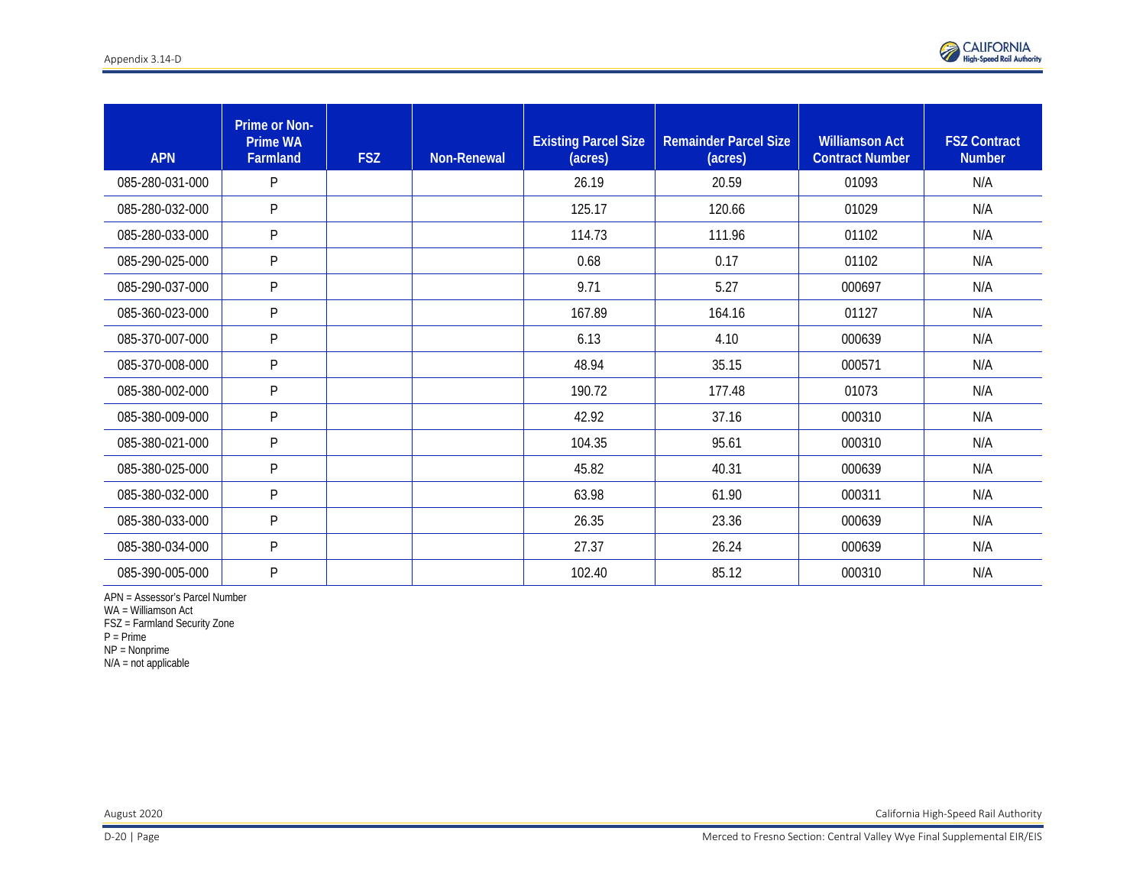

| <b>APN</b>      | <b>Prime or Non-</b><br><b>Prime WA</b><br>Farmland | <b>FSZ</b> | <b>Non-Renewal</b> | <b>Existing Parcel Size</b><br>(acres) | <b>Remainder Parcel Size</b><br>(acres) | <b>Williamson Act</b><br><b>Contract Number</b> | <b>FSZ Contract</b><br><b>Number</b> |
|-----------------|-----------------------------------------------------|------------|--------------------|----------------------------------------|-----------------------------------------|-------------------------------------------------|--------------------------------------|
| 085-280-031-000 | P                                                   |            |                    | 26.19                                  | 20.59                                   | 01093                                           | N/A                                  |
| 085-280-032-000 | P                                                   |            |                    | 125.17                                 | 120.66                                  | 01029                                           | N/A                                  |
| 085-280-033-000 | P                                                   |            |                    | 114.73                                 | 111.96                                  | 01102                                           | N/A                                  |
| 085-290-025-000 | P                                                   |            |                    | 0.68                                   | 0.17                                    | 01102                                           | N/A                                  |
| 085-290-037-000 | P                                                   |            |                    | 9.71                                   | 5.27                                    | 000697                                          | N/A                                  |
| 085-360-023-000 | P                                                   |            |                    | 167.89                                 | 164.16                                  | 01127                                           | N/A                                  |
| 085-370-007-000 | P                                                   |            |                    | 6.13                                   | 4.10                                    | 000639                                          | N/A                                  |
| 085-370-008-000 | P                                                   |            |                    | 48.94                                  | 35.15                                   | 000571                                          | N/A                                  |
| 085-380-002-000 | P                                                   |            |                    | 190.72                                 | 177.48                                  | 01073                                           | N/A                                  |
| 085-380-009-000 | P                                                   |            |                    | 42.92                                  | 37.16                                   | 000310                                          | N/A                                  |
| 085-380-021-000 | P                                                   |            |                    | 104.35                                 | 95.61                                   | 000310                                          | N/A                                  |
| 085-380-025-000 | P                                                   |            |                    | 45.82                                  | 40.31                                   | 000639                                          | N/A                                  |
| 085-380-032-000 | P                                                   |            |                    | 63.98                                  | 61.90                                   | 000311                                          | N/A                                  |
| 085-380-033-000 | P                                                   |            |                    | 26.35                                  | 23.36                                   | 000639                                          | N/A                                  |
| 085-380-034-000 | P                                                   |            |                    | 27.37                                  | 26.24                                   | 000639                                          | N/A                                  |
| 085-390-005-000 | $\mathsf{P}$                                        |            |                    | 102.40                                 | 85.12                                   | 000310                                          | N/A                                  |

APN = Assessor's Parcel Number

WA = Williamson Act

FSZ = Farmland Security Zone

P = Prime

NP = Nonprime

N/A = not applicable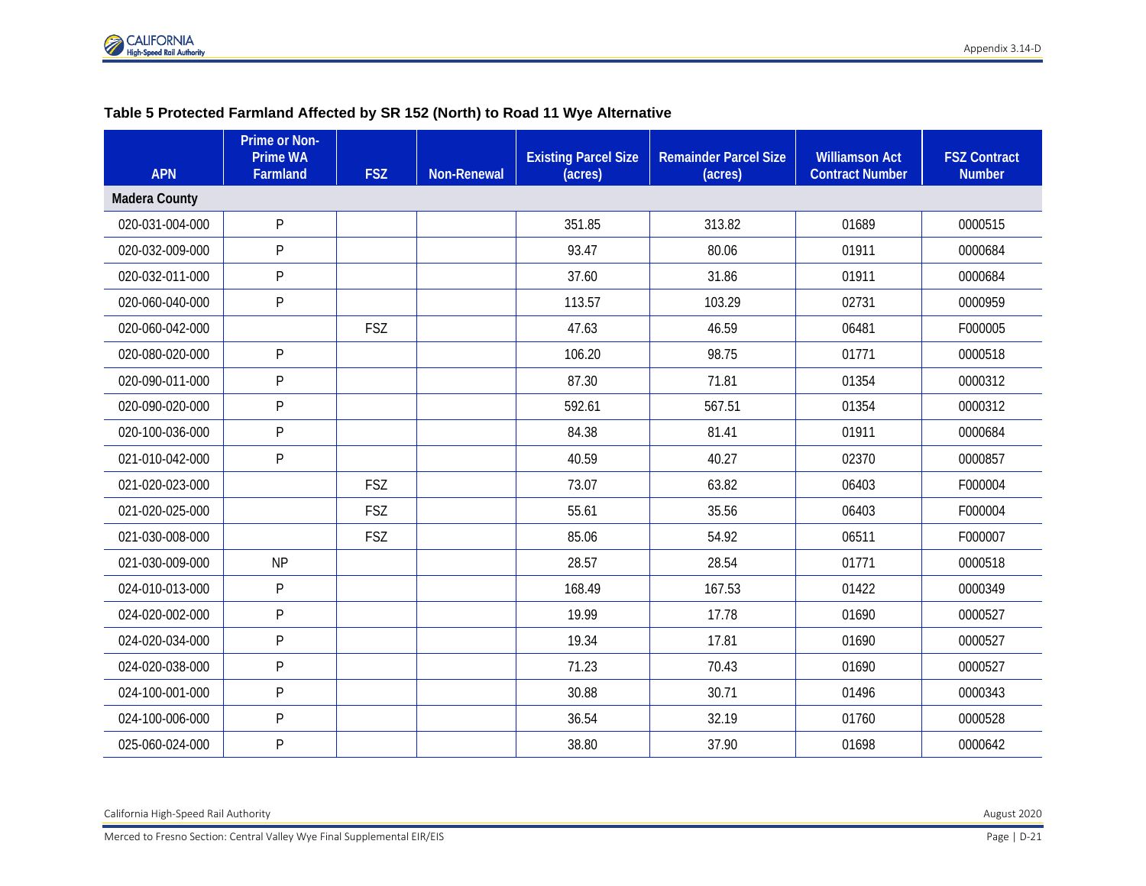### **Table 5 Protected Farmland Affected by SR 152 (North) to Road 11 Wye Alternative**

| <b>APN</b>           | Prime or Non-<br><b>Prime WA</b><br><b>Farmland</b> | <b>FSZ</b> | <b>Non-Renewal</b> | <b>Existing Parcel Size</b><br>(acres) | <b>Remainder Parcel Size</b><br>(acres) | <b>Williamson Act</b><br><b>Contract Number</b> | <b>FSZ Contract</b><br><b>Number</b> |
|----------------------|-----------------------------------------------------|------------|--------------------|----------------------------------------|-----------------------------------------|-------------------------------------------------|--------------------------------------|
| <b>Madera County</b> |                                                     |            |                    |                                        |                                         |                                                 |                                      |
| 020-031-004-000      | P                                                   |            |                    | 351.85                                 | 313.82                                  | 01689                                           | 0000515                              |
| 020-032-009-000      | P                                                   |            |                    | 93.47                                  | 80.06                                   | 01911                                           | 0000684                              |
| 020-032-011-000      | P                                                   |            |                    | 37.60                                  | 31.86                                   | 01911                                           | 0000684                              |
| 020-060-040-000      | P                                                   |            |                    | 113.57                                 | 103.29                                  | 02731                                           | 0000959                              |
| 020-060-042-000      |                                                     | FSZ        |                    | 47.63                                  | 46.59                                   | 06481                                           | F000005                              |
| 020-080-020-000      | P                                                   |            |                    | 106.20                                 | 98.75                                   | 01771                                           | 0000518                              |
| 020-090-011-000      | P                                                   |            |                    | 87.30                                  | 71.81                                   | 01354                                           | 0000312                              |
| 020-090-020-000      | P                                                   |            |                    | 592.61                                 | 567.51                                  | 01354                                           | 0000312                              |
| 020-100-036-000      | P                                                   |            |                    | 84.38                                  | 81.41                                   | 01911                                           | 0000684                              |
| 021-010-042-000      | P                                                   |            |                    | 40.59                                  | 40.27                                   | 02370                                           | 0000857                              |
| 021-020-023-000      |                                                     | FSZ        |                    | 73.07                                  | 63.82                                   | 06403                                           | F000004                              |
| 021-020-025-000      |                                                     | FSZ        |                    | 55.61                                  | 35.56                                   | 06403                                           | F000004                              |
| 021-030-008-000      |                                                     | FSZ        |                    | 85.06                                  | 54.92                                   | 06511                                           | F000007                              |
| 021-030-009-000      | <b>NP</b>                                           |            |                    | 28.57                                  | 28.54                                   | 01771                                           | 0000518                              |
| 024-010-013-000      | P                                                   |            |                    | 168.49                                 | 167.53                                  | 01422                                           | 0000349                              |
| 024-020-002-000      | P                                                   |            |                    | 19.99                                  | 17.78                                   | 01690                                           | 0000527                              |
| 024-020-034-000      | P                                                   |            |                    | 19.34                                  | 17.81                                   | 01690                                           | 0000527                              |
| 024-020-038-000      | P                                                   |            |                    | 71.23                                  | 70.43                                   | 01690                                           | 0000527                              |
| 024-100-001-000      | P                                                   |            |                    | 30.88                                  | 30.71                                   | 01496                                           | 0000343                              |
| 024-100-006-000      | P                                                   |            |                    | 36.54                                  | 32.19                                   | 01760                                           | 0000528                              |
| 025-060-024-000      | P                                                   |            |                    | 38.80                                  | 37.90                                   | 01698                                           | 0000642                              |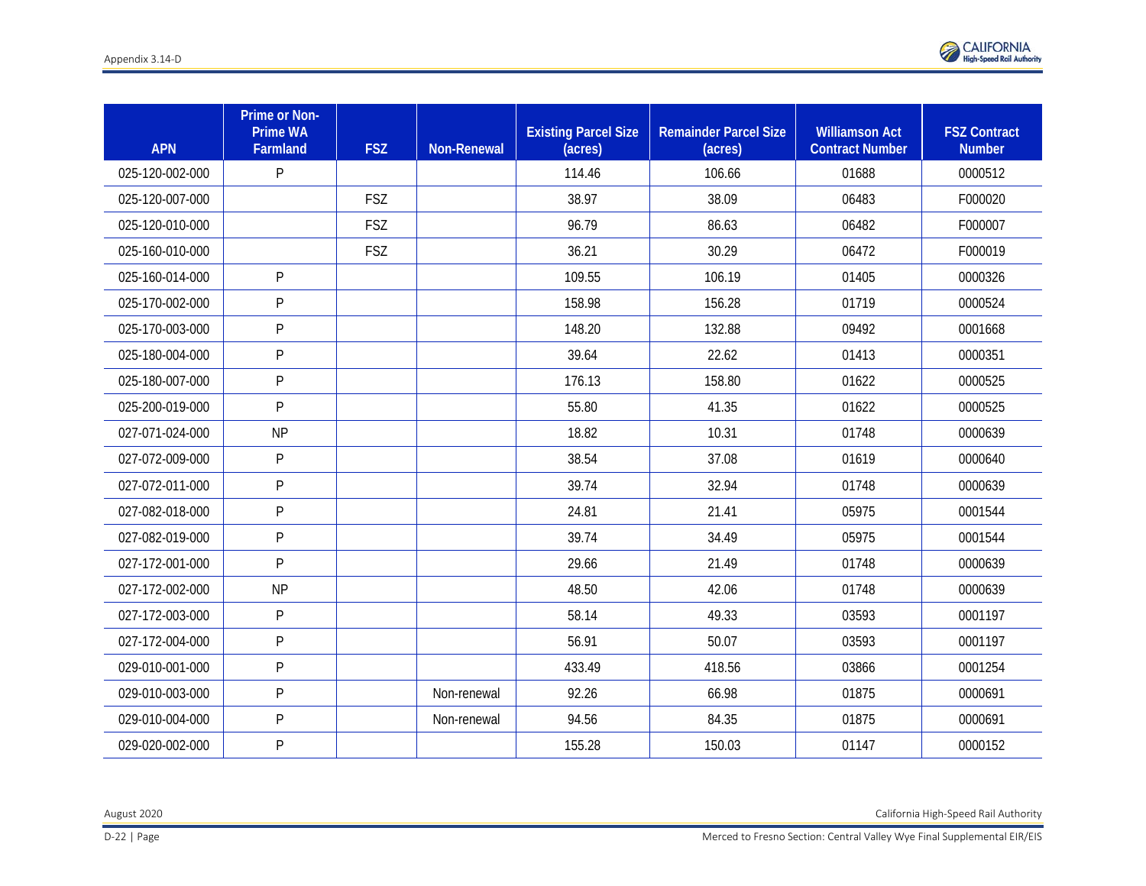

| <b>APN</b>      | Prime or Non-<br><b>Prime WA</b><br>Farmland | <b>FSZ</b> | <b>Non-Renewal</b> | <b>Existing Parcel Size</b><br>(acres) | <b>Remainder Parcel Size</b><br>(acres) | <b>Williamson Act</b><br><b>Contract Number</b> | <b>FSZ Contract</b><br><b>Number</b> |
|-----------------|----------------------------------------------|------------|--------------------|----------------------------------------|-----------------------------------------|-------------------------------------------------|--------------------------------------|
| 025-120-002-000 | P                                            |            |                    | 114.46                                 | 106.66                                  | 01688                                           | 0000512                              |
| 025-120-007-000 |                                              | <b>FSZ</b> |                    | 38.97                                  | 38.09                                   | 06483                                           | F000020                              |
| 025-120-010-000 |                                              | <b>FSZ</b> |                    | 96.79                                  | 86.63                                   | 06482                                           | F000007                              |
| 025-160-010-000 |                                              | <b>FSZ</b> |                    | 36.21                                  | 30.29                                   | 06472                                           | F000019                              |
| 025-160-014-000 | P                                            |            |                    | 109.55                                 | 106.19                                  | 01405                                           | 0000326                              |
| 025-170-002-000 | P                                            |            |                    | 158.98                                 | 156.28                                  | 01719                                           | 0000524                              |
| 025-170-003-000 | P                                            |            |                    | 148.20                                 | 132.88                                  | 09492                                           | 0001668                              |
| 025-180-004-000 | P                                            |            |                    | 39.64                                  | 22.62                                   | 01413                                           | 0000351                              |
| 025-180-007-000 | P                                            |            |                    | 176.13                                 | 158.80                                  | 01622                                           | 0000525                              |
| 025-200-019-000 | P                                            |            |                    | 55.80                                  | 41.35                                   | 01622                                           | 0000525                              |
| 027-071-024-000 | <b>NP</b>                                    |            |                    | 18.82                                  | 10.31                                   | 01748                                           | 0000639                              |
| 027-072-009-000 | P                                            |            |                    | 38.54                                  | 37.08                                   | 01619                                           | 0000640                              |
| 027-072-011-000 | $\mathsf{P}$                                 |            |                    | 39.74                                  | 32.94                                   | 01748                                           | 0000639                              |
| 027-082-018-000 | P                                            |            |                    | 24.81                                  | 21.41                                   | 05975                                           | 0001544                              |
| 027-082-019-000 | P                                            |            |                    | 39.74                                  | 34.49                                   | 05975                                           | 0001544                              |
| 027-172-001-000 | P                                            |            |                    | 29.66                                  | 21.49                                   | 01748                                           | 0000639                              |
| 027-172-002-000 | <b>NP</b>                                    |            |                    | 48.50                                  | 42.06                                   | 01748                                           | 0000639                              |
| 027-172-003-000 | P                                            |            |                    | 58.14                                  | 49.33                                   | 03593                                           | 0001197                              |
| 027-172-004-000 | P                                            |            |                    | 56.91                                  | 50.07                                   | 03593                                           | 0001197                              |
| 029-010-001-000 | P                                            |            |                    | 433.49                                 | 418.56                                  | 03866                                           | 0001254                              |
| 029-010-003-000 | P                                            |            | Non-renewal        | 92.26                                  | 66.98                                   | 01875                                           | 0000691                              |
| 029-010-004-000 | P                                            |            | Non-renewal        | 94.56                                  | 84.35                                   | 01875                                           | 0000691                              |
| 029-020-002-000 | P                                            |            |                    | 155.28                                 | 150.03                                  | 01147                                           | 0000152                              |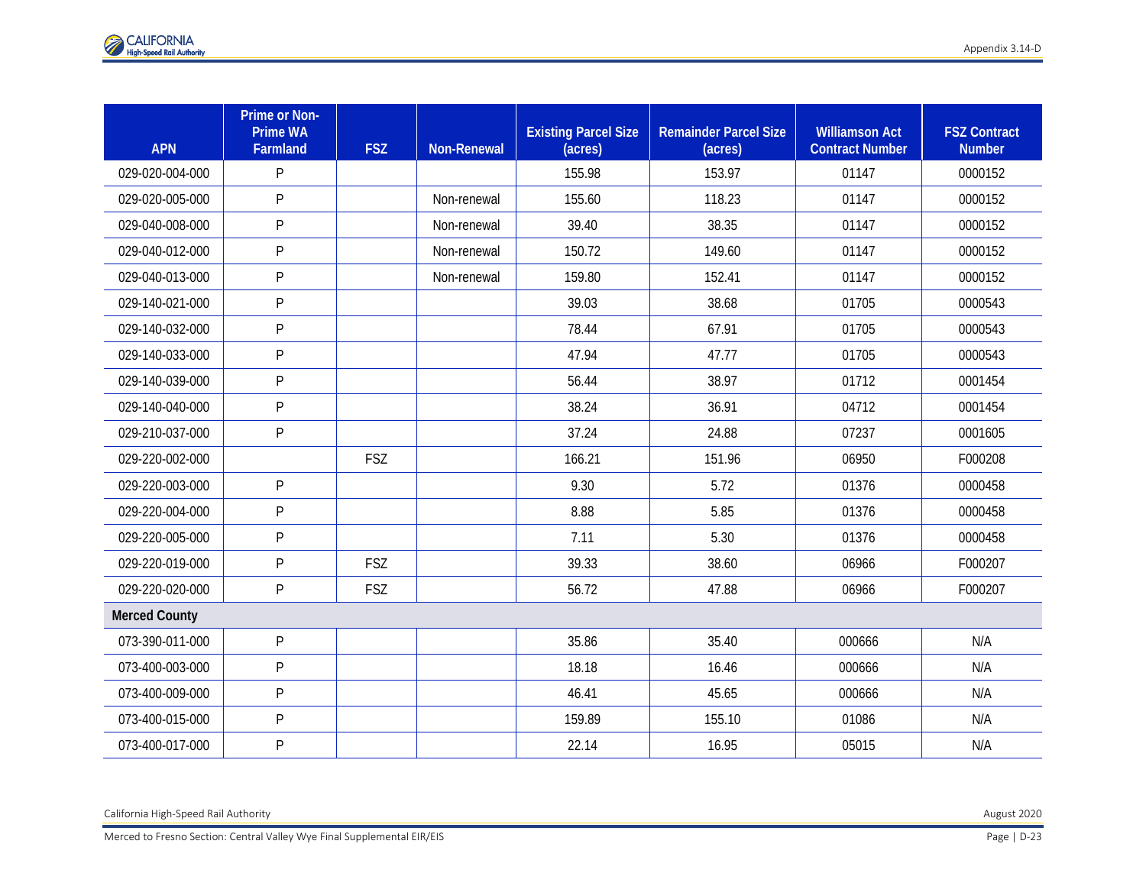| <b>APN</b>           | Prime or Non-<br><b>Prime WA</b><br>Farmland | <b>FSZ</b> | <b>Non-Renewal</b> | <b>Existing Parcel Size</b><br>(acres) | <b>Remainder Parcel Size</b><br>(acres) | <b>Williamson Act</b><br><b>Contract Number</b> | <b>FSZ Contract</b><br><b>Number</b> |
|----------------------|----------------------------------------------|------------|--------------------|----------------------------------------|-----------------------------------------|-------------------------------------------------|--------------------------------------|
| 029-020-004-000      | P                                            |            |                    | 155.98                                 | 153.97                                  | 01147                                           | 0000152                              |
| 029-020-005-000      | P                                            |            | Non-renewal        | 155.60                                 | 118.23                                  | 01147                                           | 0000152                              |
| 029-040-008-000      | ${\sf P}$                                    |            | Non-renewal        | 39.40                                  | 38.35                                   | 01147                                           | 0000152                              |
| 029-040-012-000      | P                                            |            | Non-renewal        | 150.72                                 | 149.60                                  | 01147                                           | 0000152                              |
| 029-040-013-000      | P                                            |            | Non-renewal        | 159.80                                 | 152.41                                  | 01147                                           | 0000152                              |
| 029-140-021-000      | P                                            |            |                    | 39.03                                  | 38.68                                   | 01705                                           | 0000543                              |
| 029-140-032-000      | P                                            |            |                    | 78.44                                  | 67.91                                   | 01705                                           | 0000543                              |
| 029-140-033-000      | ${\sf P}$                                    |            |                    | 47.94                                  | 47.77                                   | 01705                                           | 0000543                              |
| 029-140-039-000      | P                                            |            |                    | 56.44                                  | 38.97                                   | 01712                                           | 0001454                              |
| 029-140-040-000      | P                                            |            |                    | 38.24                                  | 36.91                                   | 04712                                           | 0001454                              |
| 029-210-037-000      | P                                            |            |                    | 37.24                                  | 24.88                                   | 07237                                           | 0001605                              |
| 029-220-002-000      |                                              | <b>FSZ</b> |                    | 166.21                                 | 151.96                                  | 06950                                           | F000208                              |
| 029-220-003-000      | P                                            |            |                    | 9.30                                   | 5.72                                    | 01376                                           | 0000458                              |
| 029-220-004-000      | P                                            |            |                    | 8.88                                   | 5.85                                    | 01376                                           | 0000458                              |
| 029-220-005-000      | P                                            |            |                    | 7.11                                   | 5.30                                    | 01376                                           | 0000458                              |
| 029-220-019-000      | P                                            | <b>FSZ</b> |                    | 39.33                                  | 38.60                                   | 06966                                           | F000207                              |
| 029-220-020-000      | P                                            | FSZ        |                    | 56.72                                  | 47.88                                   | 06966                                           | F000207                              |
| <b>Merced County</b> |                                              |            |                    |                                        |                                         |                                                 |                                      |
| 073-390-011-000      | ${\sf P}$                                    |            |                    | 35.86                                  | 35.40                                   | 000666                                          | N/A                                  |
| 073-400-003-000      | P                                            |            |                    | 18.18                                  | 16.46                                   | 000666                                          | N/A                                  |
| 073-400-009-000      | P                                            |            |                    | 46.41                                  | 45.65                                   | 000666                                          | N/A                                  |
| 073-400-015-000      | P                                            |            |                    | 159.89                                 | 155.10                                  | 01086                                           | N/A                                  |
| 073-400-017-000      | P                                            |            |                    | 22.14                                  | 16.95                                   | 05015                                           | N/A                                  |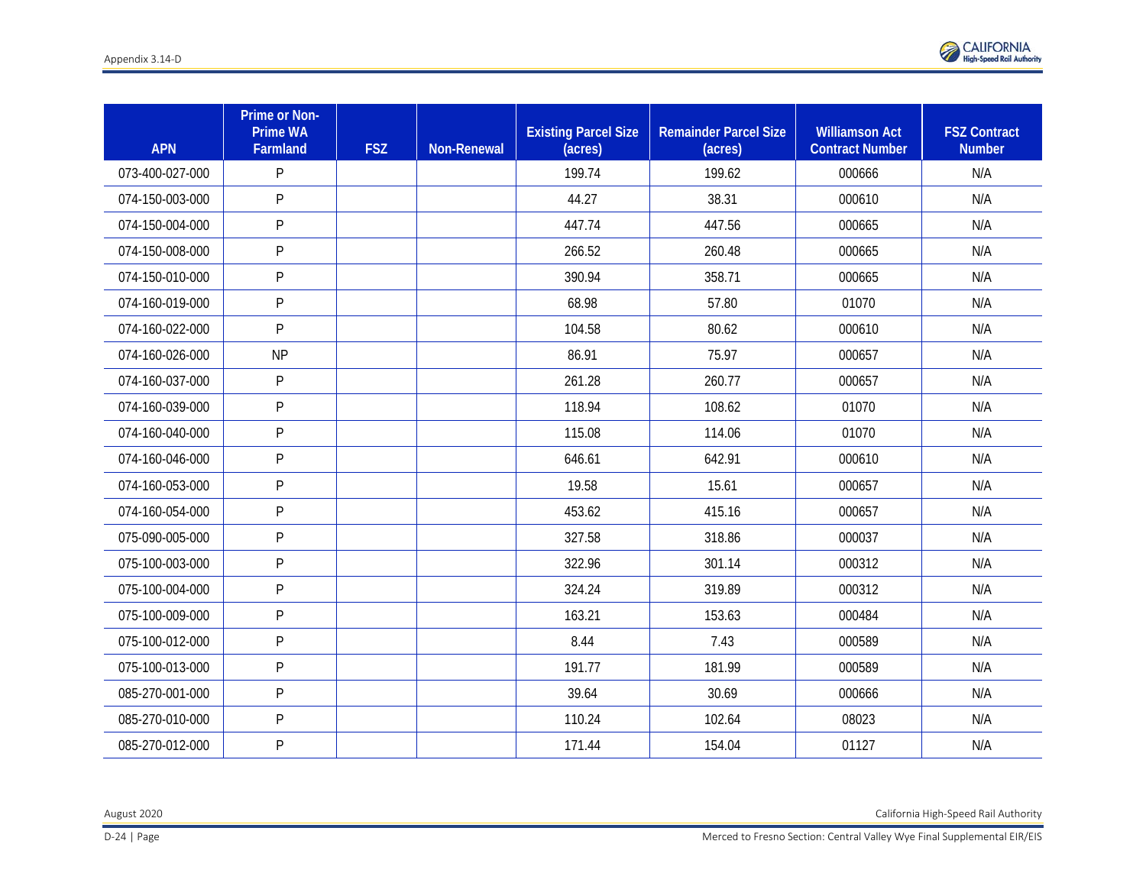

| <b>APN</b>      | Prime or Non-<br><b>Prime WA</b><br>Farmland | <b>FSZ</b> | <b>Non-Renewal</b> | <b>Existing Parcel Size</b><br>(acres) | <b>Remainder Parcel Size</b><br>(acres) | <b>Williamson Act</b><br><b>Contract Number</b> | <b>FSZ Contract</b><br><b>Number</b> |
|-----------------|----------------------------------------------|------------|--------------------|----------------------------------------|-----------------------------------------|-------------------------------------------------|--------------------------------------|
| 073-400-027-000 | ${\sf P}$                                    |            |                    | 199.74                                 | 199.62                                  | 000666                                          | N/A                                  |
| 074-150-003-000 | ${\sf P}$                                    |            |                    | 44.27                                  | 38.31                                   | 000610                                          | N/A                                  |
| 074-150-004-000 | P                                            |            |                    | 447.74                                 | 447.56                                  | 000665                                          | N/A                                  |
| 074-150-008-000 | P                                            |            |                    | 266.52                                 | 260.48                                  | 000665                                          | N/A                                  |
| 074-150-010-000 | P                                            |            |                    | 390.94                                 | 358.71                                  | 000665                                          | N/A                                  |
| 074-160-019-000 | P                                            |            |                    | 68.98                                  | 57.80                                   | 01070                                           | N/A                                  |
| 074-160-022-000 | ${\sf P}$                                    |            |                    | 104.58                                 | 80.62                                   | 000610                                          | N/A                                  |
| 074-160-026-000 | <b>NP</b>                                    |            |                    | 86.91                                  | 75.97                                   | 000657                                          | N/A                                  |
| 074-160-037-000 | P                                            |            |                    | 261.28                                 | 260.77                                  | 000657                                          | N/A                                  |
| 074-160-039-000 | ${\sf P}$                                    |            |                    | 118.94                                 | 108.62                                  | 01070                                           | N/A                                  |
| 074-160-040-000 | ${\sf P}$                                    |            |                    | 115.08                                 | 114.06                                  | 01070                                           | N/A                                  |
| 074-160-046-000 | P                                            |            |                    | 646.61                                 | 642.91                                  | 000610                                          | N/A                                  |
| 074-160-053-000 | P                                            |            |                    | 19.58                                  | 15.61                                   | 000657                                          | N/A                                  |
| 074-160-054-000 | P                                            |            |                    | 453.62                                 | 415.16                                  | 000657                                          | N/A                                  |
| 075-090-005-000 | $\mathsf{P}$                                 |            |                    | 327.58                                 | 318.86                                  | 000037                                          | N/A                                  |
| 075-100-003-000 | P                                            |            |                    | 322.96                                 | 301.14                                  | 000312                                          | N/A                                  |
| 075-100-004-000 | P                                            |            |                    | 324.24                                 | 319.89                                  | 000312                                          | N/A                                  |
| 075-100-009-000 | P                                            |            |                    | 163.21                                 | 153.63                                  | 000484                                          | N/A                                  |
| 075-100-012-000 | P                                            |            |                    | 8.44                                   | 7.43                                    | 000589                                          | N/A                                  |
| 075-100-013-000 | P                                            |            |                    | 191.77                                 | 181.99                                  | 000589                                          | N/A                                  |
| 085-270-001-000 | P                                            |            |                    | 39.64                                  | 30.69                                   | 000666                                          | N/A                                  |
| 085-270-010-000 | P                                            |            |                    | 110.24                                 | 102.64                                  | 08023                                           | N/A                                  |
| 085-270-012-000 | ${\sf P}$                                    |            |                    | 171.44                                 | 154.04                                  | 01127                                           | N/A                                  |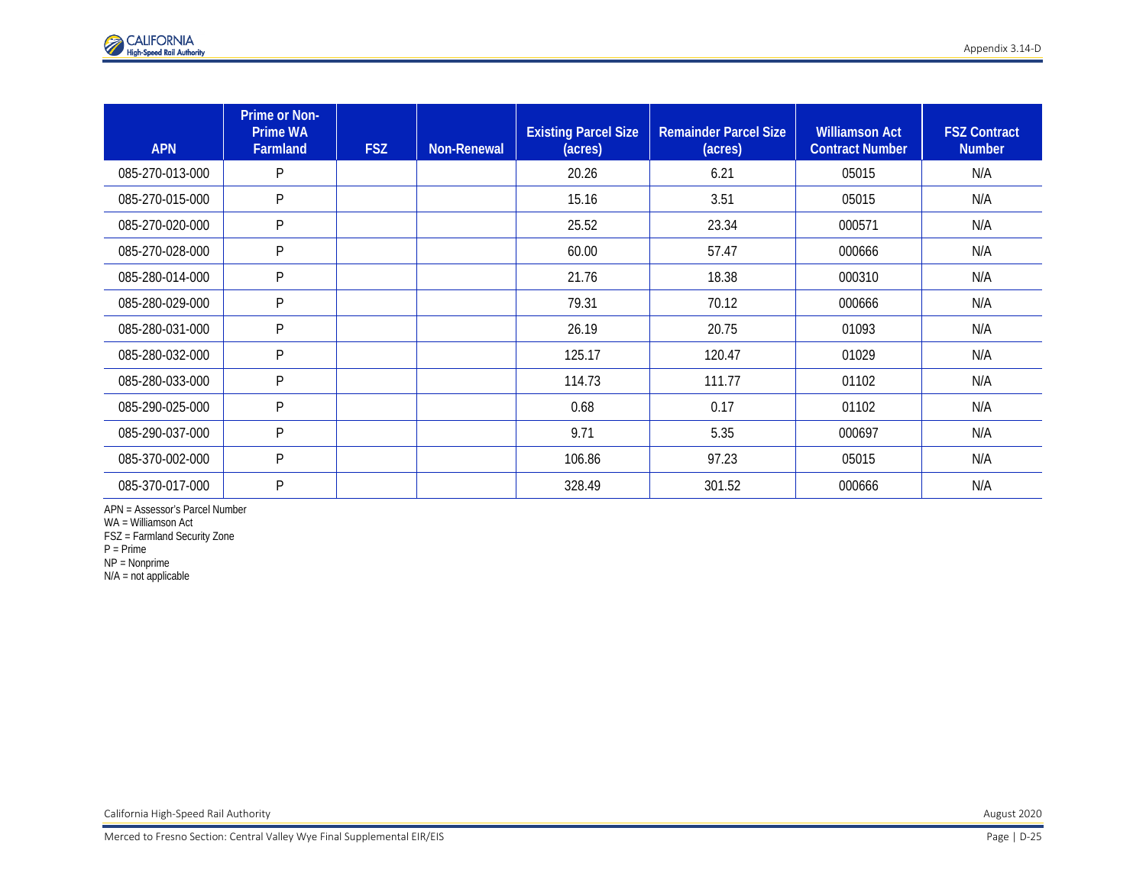| <b>APN</b>      | Prime or Non-<br><b>Prime WA</b><br>Farmland | <b>FSZ</b> | <b>Non-Renewal</b> | <b>Existing Parcel Size</b><br>(acres) | <b>Remainder Parcel Size</b><br>(acres) | <b>Williamson Act</b><br><b>Contract Number</b> | <b>FSZ Contract</b><br><b>Number</b> |
|-----------------|----------------------------------------------|------------|--------------------|----------------------------------------|-----------------------------------------|-------------------------------------------------|--------------------------------------|
| 085-270-013-000 | P                                            |            |                    | 20.26                                  | 6.21                                    | 05015                                           | N/A                                  |
| 085-270-015-000 | P                                            |            |                    | 15.16                                  | 3.51                                    | 05015                                           | N/A                                  |
| 085-270-020-000 | P                                            |            |                    | 25.52                                  | 23.34                                   | 000571                                          | N/A                                  |
| 085-270-028-000 | P                                            |            |                    | 60.00                                  | 57.47                                   | 000666                                          | N/A                                  |
| 085-280-014-000 | P                                            |            |                    | 21.76                                  | 18.38                                   | 000310                                          | N/A                                  |
| 085-280-029-000 | P                                            |            |                    | 79.31                                  | 70.12                                   | 000666                                          | N/A                                  |
| 085-280-031-000 | P                                            |            |                    | 26.19                                  | 20.75                                   | 01093                                           | N/A                                  |
| 085-280-032-000 | P                                            |            |                    | 125.17                                 | 120.47                                  | 01029                                           | N/A                                  |
| 085-280-033-000 | P                                            |            |                    | 114.73                                 | 111.77                                  | 01102                                           | N/A                                  |
| 085-290-025-000 | P                                            |            |                    | 0.68                                   | 0.17                                    | 01102                                           | N/A                                  |
| 085-290-037-000 | P                                            |            |                    | 9.71                                   | 5.35                                    | 000697                                          | N/A                                  |
| 085-370-002-000 | P                                            |            |                    | 106.86                                 | 97.23                                   | 05015                                           | N/A                                  |
| 085-370-017-000 | P                                            |            |                    | 328.49                                 | 301.52                                  | 000666                                          | N/A                                  |

APN = Assessor's Parcel Number

WA = Williamson Act

FSZ = Farmland Security Zone

P = Prime

NP = Nonprime

N/A = not applicable